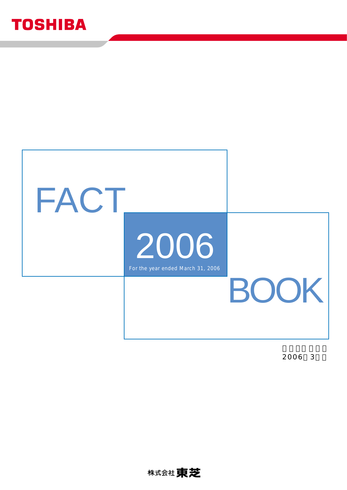# **TOSHIBA**



2006 3

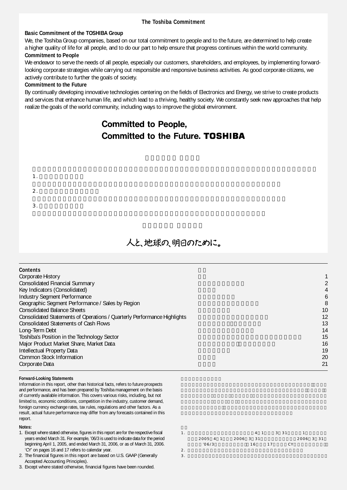#### **The Toshiba Commitment**

#### **Basic Commitment of the TOSHIBA Group**

We, the Toshiba Group companies, based on our total commitment to people and to the future, are determined to help create a higher quality of life for all people, and to do our part to help ensure that progress continues within the world community.

#### **Commitment to People**

We endeavor to serve the needs of all people, especially our customers, shareholders, and employees, by implementing forwardlooking corporate strategies while carrying out responsible and responsive business activities. As good corporate citizens, we actively contribute to further the goals of society.

#### **Commitment to the Future**

By continually developing innovative technologies centering on the fields of Electronics and Energy, we strive to create products and services that enhance human life, and which lead to a thriving, healthy society. We constantly seek new approaches that help realize the goals of the world community, including ways to improve the global environment.

## **Committed to People, Committed to the Future. TOSHIBA**

- 1.  $\blacksquare$
- $2.$
- $3.$

## 人と、地球の、明日のために。

| <b>Contents</b>                                                          |    |
|--------------------------------------------------------------------------|----|
| Corporate History                                                        |    |
| <b>Consolidated Financial Summary</b>                                    | 2  |
| Key Indicators (Consolidated)                                            | 4  |
| <b>Industry Segment Performance</b>                                      | 6  |
| Geographic Segment Performance / Sales by Region                         | 8  |
| <b>Consolidated Balance Sheets</b>                                       | 10 |
| Consolidated Statements of Operations / Quarterly Performance Highlights | 12 |
| <b>Consolidated Statements of Cash Flows</b>                             | 13 |
| Long-Term Debt                                                           | 14 |
| Toshiba's Position in the Technology Sector                              | 15 |
| Major Product Market Share, Market Data                                  | 16 |
| Intellectual Property Data                                               | 19 |
| <b>Common Stock Information</b>                                          | 20 |
| Corporate Data                                                           | 21 |

#### **Forward-Looking Statements**

Information in this report, other than historical facts, refers to future prospects and performance, and has been prepared by Toshiba management on the basis of currently available information. This covers various risks, including, but not limited to, economic conditions, competition in the industry, customer demand, foreign currency exchange rates, tax rules, regulations and other factors. As a result, actual future performance may differ from any forecasts contained in this report.

#### **Notes:**

- 1. Except where stated otherwise, figures in this report are for the respective fiscal years ended March 31. For example, '06/3 is used to indicate data for the period beginning April 1, 2005, and ended March 31, 2006, or as of March 31, 2006. 'CY' on pages 16 and 17 refers to calendar year.
- 2. The financial figures in this report are based on U.S. GAAP (Generally Accepted Accounting Principles).
- 3. Except where stated otherwise, financial figures have been rounded.
- 1. 本紙に記載されている会計年度は、各年4月1日から3月31日までの1年間です。例  $2005 \t4 \t1 \t2006 \t3 \t31 \t2006 \t3 \t31$  $16$  (16/3)  $16$  17 CY 2.  $\blacksquare$
- $3.$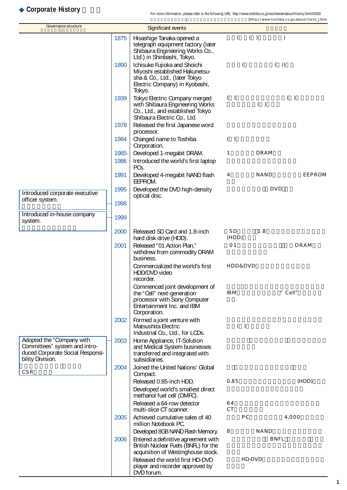## **Corporate History**

| Governance structure                                                                                               |      | <b>Significant events</b>                                                                                                                   |                 |            |               |
|--------------------------------------------------------------------------------------------------------------------|------|---------------------------------------------------------------------------------------------------------------------------------------------|-----------------|------------|---------------|
|                                                                                                                    | 1875 | Hisashige Tanaka opened a<br>telegraph equipment factory (later<br>Shibaura Engineering Works Co.,<br>Ltd.) in Shinbashi, Tokyo.            | $\left($        | ( )        | $\mathcal{E}$ |
|                                                                                                                    | 1890 | Ichisuke Fujioka and Shoichi<br>Miyoshi established Hakunetsu-<br>sha & Co., Ltd., (later Tokyo<br>Electric Company) in Kyobashi,<br>Tokyo. | $\left($        | ( )        |               |
|                                                                                                                    | 1939 | Tokyo Electric Company merged<br>with Shibaura Engineering Works<br>Co., Ltd., and established Tokyo<br>Shibaura Electric Co., Ltd.         | ( )             | ( )        | ( )           |
|                                                                                                                    | 1978 | Released the first Japanese word<br>processor.                                                                                              |                 |            |               |
|                                                                                                                    | 1984 | Changed name to Toshiba<br>Corporation.                                                                                                     | ( )             |            |               |
|                                                                                                                    | 1985 | Developed 1-megabit DRAM.                                                                                                                   | 1               | DRAM       |               |
|                                                                                                                    | 1986 | Introduced the world's first laptop<br>PCs.                                                                                                 |                 |            |               |
|                                                                                                                    | 1991 | Developed 4-megabit NAND flash<br>EEPROM.                                                                                                   | 4               | NAND       | EEPROM        |
| Introduced corporate executive                                                                                     | 1995 | Developed the DVD high-density<br>optical disc.                                                                                             |                 | <b>DVD</b> |               |
| officer system.                                                                                                    | 1998 |                                                                                                                                             |                 |            |               |
| Introduced in-house company<br>system.                                                                             | 1999 |                                                                                                                                             |                 |            |               |
|                                                                                                                    | 2000 | Released SD Card and 1.8-inch<br>hard disk drive (HDD).                                                                                     | S D<br>(HDD)    | 1.8        |               |
|                                                                                                                    | 2001 | Released "01 Action Plan,"<br>withdrew from commodity DRAM<br>business.                                                                     | 01              |            | DRAM          |
|                                                                                                                    |      | Commercialized the world's first<br>HDD/DVD video<br>recorder.                                                                              | HDD&DVD         |            |               |
|                                                                                                                    |      | Commenced joint development of<br>the "Cell" next-generation<br>processor with Sony Computer<br>Entertainment Inc. and IBM<br>Corporation.  | IB <sub>M</sub> |            | " Cell"       |
|                                                                                                                    | 2002 | Formed a joint venture with<br>Matsushita Electric<br>Industrial Co., Ltd., for LCDs.                                                       | $(\quad)$       |            |               |
| Adopted the "Company with<br>Committees" system and intro-<br>duced Corporate Social Responsi-<br>bility Division. | 2003 | Home Appliance, IT-Solution<br>and Medical System businesses<br>transferred and integrated with<br>subsidiaries.                            |                 |            |               |
| CSR                                                                                                                | 2004 | Joined the United Nations' Global<br>Compact.                                                                                               |                 |            |               |
|                                                                                                                    |      | Released 0.85-inch HDD.                                                                                                                     | 0.85            |            | (HDD)         |
|                                                                                                                    |      | Developed world's smallest direct<br>methanol fuel cell (DMFC).                                                                             |                 |            |               |
|                                                                                                                    |      | Released a 64-row detector<br>multi-slice CT scanner.                                                                                       | 64<br>CT.       |            |               |
|                                                                                                                    | 2005 | Achieved cumulative sales of 40<br>million Notebook PC.                                                                                     | РC              |            | 4,000         |
|                                                                                                                    |      | Developed 8GB NAND Flash Memory.                                                                                                            | 8               | NAND       |               |
|                                                                                                                    | 2006 | Entered a definitive agreement with<br>British Nuclear Fuels (BNFL) for the<br>acquisition of Westinghouse stock.                           |                 | BNFL       |               |
|                                                                                                                    |      | Released the world first HD-DVD<br>player and recorder approved by<br>DVD forum.                                                            | HD-DVD          |            |               |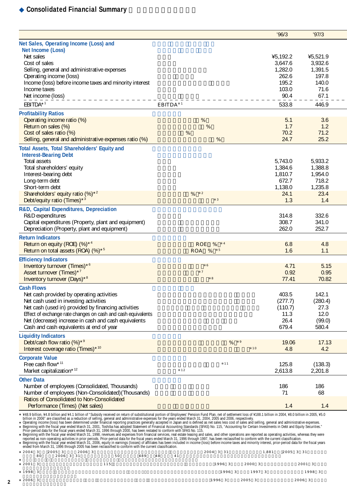## **Consolidated Financial Summary**

|                                                                                                                                                                                                                                 |                             | 96/3               | '97/3              |
|---------------------------------------------------------------------------------------------------------------------------------------------------------------------------------------------------------------------------------|-----------------------------|--------------------|--------------------|
| Net Sales, Operating Income (Loss) and                                                                                                                                                                                          |                             |                    |                    |
| Net Income (Loss)                                                                                                                                                                                                               |                             |                    |                    |
| Net sales                                                                                                                                                                                                                       |                             | ¥5,192.2           | ¥5,521.9           |
| Cost of sales                                                                                                                                                                                                                   |                             | 3,647.6<br>1,282.0 | 3,932.6            |
| Selling, general and administrative expenses<br>Operating income (loss)                                                                                                                                                         |                             | 262.6              | 1,391.5<br>197.8   |
| Income (loss) before income taxes and minority interest                                                                                                                                                                         |                             | 195.2              | 140.0              |
| Income taxes                                                                                                                                                                                                                    |                             | 103.0              | 71.6               |
| Net income (loss)                                                                                                                                                                                                               |                             | 90.4               | 67.1               |
| EBITDA*1                                                                                                                                                                                                                        | EBITDA <sup>1</sup>         | 533.8              | 446.9              |
| <b>Profitability Ratios</b>                                                                                                                                                                                                     |                             |                    |                    |
| Operating income ratio (%)                                                                                                                                                                                                      | %                           | 5.1                | 3.6                |
| Return on sales (%)                                                                                                                                                                                                             | %                           | 1.7                | 1.2                |
| Cost of sales ratio (%)                                                                                                                                                                                                         | $\%$                        | 70.2               | 71.2               |
| Selling, general and administrative expenses ratio (%)                                                                                                                                                                          | %                           | 24.7               | 25.2               |
| Total Assets, Total Shareholders' Equity and                                                                                                                                                                                    |                             |                    |                    |
| <b>Interest-Bearing Debt</b>                                                                                                                                                                                                    |                             |                    |                    |
| Total assets<br>Total shareholders' equity                                                                                                                                                                                      |                             | 5,743.0<br>1,384.6 | 5,933.2<br>1,388.8 |
| Interest-bearing debt                                                                                                                                                                                                           |                             | 1,810.7            | 1,954.0            |
| Long-term debt                                                                                                                                                                                                                  |                             | 672.7              | 718.2              |
| Short-term debt                                                                                                                                                                                                                 |                             | 1,138.0            | 1,235.8            |
| Shareholders' equity ratio (%) <sup>*2</sup>                                                                                                                                                                                    | %<br>$\overline{2}$         | 24.1               | 23.4               |
| Debt/equity ratio (Times)*3                                                                                                                                                                                                     | $\mathsf 3$                 | 1.3                | 1.4                |
| R&D, Capital Expenditures, Depreciation                                                                                                                                                                                         |                             |                    |                    |
| R&D expenditures                                                                                                                                                                                                                |                             | 314.8              | 332.6              |
| Capital expenditures (Property, plant and equipment)                                                                                                                                                                            |                             | 308.7<br>262.0     | 341.0<br>252.7     |
| Depreciation (Property, plant and equipment)                                                                                                                                                                                    |                             |                    |                    |
| <b>Return Indicators</b>                                                                                                                                                                                                        | $\overline{4}$              |                    |                    |
| Return on equity (ROE) (%)*4<br>Return on total assets (ROA) (%)* <sup>5</sup>                                                                                                                                                  | ROE<br>%<br>$\,$ 5<br>ROA % | 6.8<br>1.6         | 4.8<br>1.1         |
|                                                                                                                                                                                                                                 |                             |                    |                    |
| <b>Efficiency Indicators</b><br>Inventory turnover (Times)*6                                                                                                                                                                    | 6                           | 4.71               | 5.15               |
| Asset turnover (Times)*7                                                                                                                                                                                                        | $\overline{7}$              | 0.92               | 0.95               |
| Inventory turnover (Days)*8                                                                                                                                                                                                     | 8                           | 77.41              | 70.82              |
| <b>Cash Flows</b>                                                                                                                                                                                                               |                             |                    |                    |
| Net cash provided by operating activities                                                                                                                                                                                       |                             | 403.5              | 142.1              |
| Net cash used in investing activities                                                                                                                                                                                           |                             | (277.7)            | (280.4)            |
| Net cash (used in) provided by financing activities                                                                                                                                                                             |                             | (110.7)            | 27.3               |
| Effect of exchange rate changes on cash and cash equivalents                                                                                                                                                                    |                             | 11.3               | 12.0               |
| Net (decrease) increase in cash and cash equivalents                                                                                                                                                                            |                             | 26.4               | (99.0)             |
| Cash and cash equivalents at end of year                                                                                                                                                                                        |                             | 679.4              | 580.4              |
| <b>Liquidity Indicators</b>                                                                                                                                                                                                     |                             |                    |                    |
| Debt/cash flow ratio (%)*9                                                                                                                                                                                                      | %<br>10                     | 19.06              | 17.13              |
| Interest coverage ratio (Times)* <sup>10</sup>                                                                                                                                                                                  |                             | 4.8                | 4.2                |
| <b>Corporate Value</b><br>Free cash flow*11                                                                                                                                                                                     | 11                          |                    |                    |
| Market capitalization*12                                                                                                                                                                                                        | 12                          | 125.8<br>2,613.8   | (138.3)<br>2,201.8 |
|                                                                                                                                                                                                                                 |                             |                    |                    |
| <b>Other Data</b><br>Number of employees (Consolidated, Thousands)                                                                                                                                                              |                             | 186                | 186                |
| Number of employees (Non-Consolidated) (Thousands)                                                                                                                                                                              |                             | 71                 | 68                 |
| <b>Ratios of Consolidated to Non-Consolidated</b>                                                                                                                                                                               |                             |                    |                    |
| Performance (Times) (Net sales)                                                                                                                                                                                                 |                             | 1.4                | 1.4                |
| ¥48.9 billion, ¥4.8 billion and ¥4.1 billion of "Subsidy received on return of substitutional portion of Employees' Pension Fund Plan, net of settlement loss of ¥188.1 billion in 2004, ¥8.0 billion in 2005, ¥5.0             |                             |                    |                    |
|                                                                                                                                                                                                                                 |                             |                    |                    |
|                                                                                                                                                                                                                                 |                             |                    |                    |
| +44.5 9 minuti and 2006 are classified as a reduction of selling, general and administrative expenses for the years ended March 31, 2004, 2005 and 2006, respectively.<br>Operating income rates are reduction of selling, gene |                             |                    |                    |
| ended from March 31, 1996 through 2005 has been reclassified to conform with the current classification.                                                                                                                        |                             |                    |                    |
| 2004 3<br>2005 3<br>2006 3                                                                                                                                                                                                      | 2004 3 31                   | 1,881<br>2005 3 31 |                    |

|   | 2004 3 | 80 | 20053<br>2006 3 31 | 2006 3 | 50  | 489 | 48 | 41 | 2004 3 31        | . 881  | 2005 3 31 |
|---|--------|----|--------------------|--------|-----|-----|----|----|------------------|--------|-----------|
|   | 2001 3 |    |                    |        | 115 |     |    |    | 1996 3           | 2000 3 | 2001 3    |
|   | 1998 3 |    |                    |        |     |     |    |    | 1996 3           | 1997 3 | 1998 3    |
| ŋ | 2006 3 |    |                    |        |     |     |    |    | 1996 3<br>2005 3 |        | 2006 3    |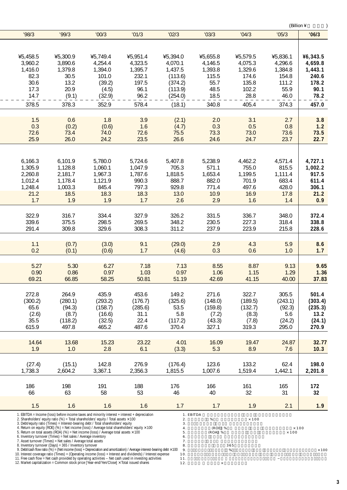|          |                                                                                                                                                                                          |                                                                                                                                                                                                                                                                                                                                                                                                                                                                                                                                                                                     |                                                                                                                                                                                                                                                                                                                                                         |                                                                                               |                                    |                     | (Billion ¥                   |          |
|----------|------------------------------------------------------------------------------------------------------------------------------------------------------------------------------------------|-------------------------------------------------------------------------------------------------------------------------------------------------------------------------------------------------------------------------------------------------------------------------------------------------------------------------------------------------------------------------------------------------------------------------------------------------------------------------------------------------------------------------------------------------------------------------------------|---------------------------------------------------------------------------------------------------------------------------------------------------------------------------------------------------------------------------------------------------------------------------------------------------------------------------------------------------------|-----------------------------------------------------------------------------------------------|------------------------------------|---------------------|------------------------------|----------|
| '98/3    | '99/3                                                                                                                                                                                    | '00/3                                                                                                                                                                                                                                                                                                                                                                                                                                                                                                                                                                               | '01/3                                                                                                                                                                                                                                                                                                                                                   | '02/3                                                                                         | '03/3                              | '04/3               | '05/3                        | '06/3    |
| ¥5,458.5 | ¥5,300.9                                                                                                                                                                                 | ¥5,749.4                                                                                                                                                                                                                                                                                                                                                                                                                                                                                                                                                                            | ¥5,951.4                                                                                                                                                                                                                                                                                                                                                | ¥5,394.0                                                                                      | ¥5,655.8                           | ¥5,579.5            | ¥5,836.1                     | ¥6,343.5 |
| 3,960.2  | 3,890.6                                                                                                                                                                                  | 4,254.4                                                                                                                                                                                                                                                                                                                                                                                                                                                                                                                                                                             | 4,323.5                                                                                                                                                                                                                                                                                                                                                 | 4,070.1                                                                                       | 4,146.5                            | 4,075.3             | 4,296.6                      | 4,659.8  |
| 1,416.0  | 1,379.8                                                                                                                                                                                  | 1,394.0                                                                                                                                                                                                                                                                                                                                                                                                                                                                                                                                                                             | 1,395.7                                                                                                                                                                                                                                                                                                                                                 | 1,437.5                                                                                       | 1,393.8                            | 1,329.6             | 1,384.8                      | 1,443.1  |
| 82.3     | 30.5                                                                                                                                                                                     | 101.0                                                                                                                                                                                                                                                                                                                                                                                                                                                                                                                                                                               | 232.1                                                                                                                                                                                                                                                                                                                                                   | (113.6)                                                                                       | 115.5                              | 174.6               | 154.8                        | 240.6    |
| 30.6     | 13.2                                                                                                                                                                                     | (39.2)                                                                                                                                                                                                                                                                                                                                                                                                                                                                                                                                                                              | 197.5                                                                                                                                                                                                                                                                                                                                                   | (374.2)                                                                                       | 55.7                               | 135.8               | 111.2                        | 178.2    |
| 17.3     | 20.9                                                                                                                                                                                     | (4.5)                                                                                                                                                                                                                                                                                                                                                                                                                                                                                                                                                                               | 96.1                                                                                                                                                                                                                                                                                                                                                    | (113.9)                                                                                       | 48.5                               | 102.2               | 55.9                         | 90.1     |
| 14.7     | (9.1)                                                                                                                                                                                    | (32.9)                                                                                                                                                                                                                                                                                                                                                                                                                                                                                                                                                                              | 96.2                                                                                                                                                                                                                                                                                                                                                    | (254.0)                                                                                       | 18.5                               | 28.8                | 46.0                         | 78.2     |
| 378.5    | 378.3                                                                                                                                                                                    | 352.9                                                                                                                                                                                                                                                                                                                                                                                                                                                                                                                                                                               | 578.4                                                                                                                                                                                                                                                                                                                                                   | (18.1)                                                                                        | 340.8                              | 405.4               | 374.3                        | 457.0    |
| 1.5      | 0.6                                                                                                                                                                                      | 1.8                                                                                                                                                                                                                                                                                                                                                                                                                                                                                                                                                                                 | 3.9                                                                                                                                                                                                                                                                                                                                                     | (2.1)                                                                                         | 2.0                                | 3.1                 | 2.7                          | 3.8      |
| 0.3      | (0.2)                                                                                                                                                                                    | (0.6)                                                                                                                                                                                                                                                                                                                                                                                                                                                                                                                                                                               | 1.6                                                                                                                                                                                                                                                                                                                                                     | (4.7)                                                                                         | 0.3                                | 0.5                 | 0.8                          | 1.2      |
| 72.6     | 73.4                                                                                                                                                                                     | 74.0                                                                                                                                                                                                                                                                                                                                                                                                                                                                                                                                                                                | 72.6                                                                                                                                                                                                                                                                                                                                                    | 75.5                                                                                          | 73.3                               | 73.0                | 73.6                         | 73.5     |
| 25.9     | 26.0                                                                                                                                                                                     | 24.2                                                                                                                                                                                                                                                                                                                                                                                                                                                                                                                                                                                | 23.5                                                                                                                                                                                                                                                                                                                                                    | 26.6                                                                                          | 24.6                               | 24.7                | 23.7                         | 22.7     |
| 6,166.3  | 6,101.9                                                                                                                                                                                  | 5,780.0                                                                                                                                                                                                                                                                                                                                                                                                                                                                                                                                                                             | 5,724.6                                                                                                                                                                                                                                                                                                                                                 | 5,407.8                                                                                       | 5,238.9                            | 4,462.2             | 4,571.4                      | 4,727.1  |
| 1,305.9  | 1,128.8                                                                                                                                                                                  | 1,060.1                                                                                                                                                                                                                                                                                                                                                                                                                                                                                                                                                                             | 1,047.9                                                                                                                                                                                                                                                                                                                                                 | 705.3                                                                                         | 571.1                              | 755.0               | 815.5                        | 1,002.2  |
| 2,260.8  | 2,181.7                                                                                                                                                                                  | 1,967.3                                                                                                                                                                                                                                                                                                                                                                                                                                                                                                                                                                             | 1,787.6                                                                                                                                                                                                                                                                                                                                                 | 1,818.5                                                                                       | 1,653.4                            | 1,199.5             | 1,111.4                      | 917.5    |
| 1,012.4  | 1,178.4                                                                                                                                                                                  | 1,121.9                                                                                                                                                                                                                                                                                                                                                                                                                                                                                                                                                                             | 990.3                                                                                                                                                                                                                                                                                                                                                   | 888.7                                                                                         | 882.0                              | 701.9               | 683.4                        | 611.4    |
| 1,248.4  | 1,003.3                                                                                                                                                                                  | 845.4                                                                                                                                                                                                                                                                                                                                                                                                                                                                                                                                                                               | 797.3                                                                                                                                                                                                                                                                                                                                                   | 929.8                                                                                         | 771.4                              | 497.6               | 428.0                        | 306.1    |
| 21.2     | 18.5                                                                                                                                                                                     | 18.3                                                                                                                                                                                                                                                                                                                                                                                                                                                                                                                                                                                | 18.3                                                                                                                                                                                                                                                                                                                                                    | 13.0                                                                                          | 10.9                               | 16.9                | 17.8                         | 21.2     |
| 1.7      | 1.9                                                                                                                                                                                      | 1.9                                                                                                                                                                                                                                                                                                                                                                                                                                                                                                                                                                                 | 1.7                                                                                                                                                                                                                                                                                                                                                     | 2.6                                                                                           | 2.9                                | 1.6                 | 1.4                          | 0.9      |
| 322.9    | 316.7                                                                                                                                                                                    | 334.4                                                                                                                                                                                                                                                                                                                                                                                                                                                                                                                                                                               | 327.9                                                                                                                                                                                                                                                                                                                                                   | 326.2                                                                                         | 331.5                              | 336.7               | 348.0                        | 372.4    |
| 339.6    | 375.5                                                                                                                                                                                    | 298.5                                                                                                                                                                                                                                                                                                                                                                                                                                                                                                                                                                               | 269.5                                                                                                                                                                                                                                                                                                                                                   | 348.2                                                                                         | 230.5                              | 227.3               | 318.4                        | 338.8    |
| 291.4    | 309.8                                                                                                                                                                                    | 329.6                                                                                                                                                                                                                                                                                                                                                                                                                                                                                                                                                                               | 308.3                                                                                                                                                                                                                                                                                                                                                   | 311.2                                                                                         | 237.9                              | 223.9               | 215.8                        | 228.6    |
| 1.1      | (0.7)                                                                                                                                                                                    | (3.0)                                                                                                                                                                                                                                                                                                                                                                                                                                                                                                                                                                               | 9.1                                                                                                                                                                                                                                                                                                                                                     | (29.0)                                                                                        | 2.9                                | 4.3                 | 5.9                          | 8.6      |
| 0.2      | (0.1)                                                                                                                                                                                    | (0.6)                                                                                                                                                                                                                                                                                                                                                                                                                                                                                                                                                                               | 1.7                                                                                                                                                                                                                                                                                                                                                     | (4.6)                                                                                         | 0.3                                | 0.6                 | 1.0                          | 1.7      |
| 5.27     | 5.30                                                                                                                                                                                     | 6.27                                                                                                                                                                                                                                                                                                                                                                                                                                                                                                                                                                                | 7.18                                                                                                                                                                                                                                                                                                                                                    | 7.13                                                                                          | 8.55                               | 8.87                | 9.13                         | 9.65     |
| 0.90     | 0.86                                                                                                                                                                                     | 0.97                                                                                                                                                                                                                                                                                                                                                                                                                                                                                                                                                                                | 1.03                                                                                                                                                                                                                                                                                                                                                    | 0.97                                                                                          | 1.06                               | 1.15                | 1.29                         | 1.36     |
| 69.21    | 66.85                                                                                                                                                                                    | 58.25                                                                                                                                                                                                                                                                                                                                                                                                                                                                                                                                                                               | 50.81                                                                                                                                                                                                                                                                                                                                                   | 51.19                                                                                         | 42.69                              | 41.15               | 40.00                        | 37.83    |
| 272.8    | 264.9                                                                                                                                                                                    | 435.9                                                                                                                                                                                                                                                                                                                                                                                                                                                                                                                                                                               | 453.6                                                                                                                                                                                                                                                                                                                                                   | 149.2                                                                                         | 271.6                              | 322.7               | 305.5                        | 501.4    |
| (300.2)  | (280.1)                                                                                                                                                                                  | (293.2)                                                                                                                                                                                                                                                                                                                                                                                                                                                                                                                                                                             | (176.7)                                                                                                                                                                                                                                                                                                                                                 | (325.6)                                                                                       | (148.0)                            | (189.5)             | (243.1)                      | (303.4)  |
| 65.6     | (94.3)                                                                                                                                                                                   | (158.7)                                                                                                                                                                                                                                                                                                                                                                                                                                                                                                                                                                             | (285.6)                                                                                                                                                                                                                                                                                                                                                 | 53.5                                                                                          | (159.8)                            | (132.7)             | (92.3)                       | (235.3)  |
| (2.6)    | (8.7)                                                                                                                                                                                    | (16.6)                                                                                                                                                                                                                                                                                                                                                                                                                                                                                                                                                                              | 31.1                                                                                                                                                                                                                                                                                                                                                    | 5.8                                                                                           | (7.2)                              | (8.3)               | 5.6                          | 13.2     |
| 35.5     | (118.2)                                                                                                                                                                                  | (32.5)                                                                                                                                                                                                                                                                                                                                                                                                                                                                                                                                                                              | 22.4                                                                                                                                                                                                                                                                                                                                                    | (117.2)                                                                                       | (43.3)                             | (7.8)               | (24.2)                       | (24.1)   |
| 615.9    | 497.8                                                                                                                                                                                    | 465.2                                                                                                                                                                                                                                                                                                                                                                                                                                                                                                                                                                               | 487.6                                                                                                                                                                                                                                                                                                                                                   | 370.4                                                                                         | 327.1                              | 319.3               | 295.0                        | 270.9    |
| 14.64    | 13.68                                                                                                                                                                                    | 15.23                                                                                                                                                                                                                                                                                                                                                                                                                                                                                                                                                                               | 23.22                                                                                                                                                                                                                                                                                                                                                   | 4.01                                                                                          | 16.09                              | 19.47               | 24.87                        | 32.77    |
| 1.9      | 1.0                                                                                                                                                                                      | 2.8                                                                                                                                                                                                                                                                                                                                                                                                                                                                                                                                                                                 | 6.1                                                                                                                                                                                                                                                                                                                                                     | (3.3)                                                                                         | 5.3                                | 8.9                 | 7.6                          | 10.3     |
| (27.4)   | (15.1)                                                                                                                                                                                   | 142.8                                                                                                                                                                                                                                                                                                                                                                                                                                                                                                                                                                               | 276.9                                                                                                                                                                                                                                                                                                                                                   | (176.4)                                                                                       | 123.6                              | 133.2               | 62.4                         | 198.0    |
| 1,738.3  | 2,604.2                                                                                                                                                                                  | 3,367.1                                                                                                                                                                                                                                                                                                                                                                                                                                                                                                                                                                             | 2,356.3                                                                                                                                                                                                                                                                                                                                                 | 1,815.5                                                                                       | 1,007.6                            | 1,519.4             | 1,442.1                      | 2,201.8  |
| 186      | 198                                                                                                                                                                                      | 191                                                                                                                                                                                                                                                                                                                                                                                                                                                                                                                                                                                 | 188                                                                                                                                                                                                                                                                                                                                                     | 176                                                                                           | 166                                | 161                 | 165                          | 172      |
| 66       | 63                                                                                                                                                                                       | 58                                                                                                                                                                                                                                                                                                                                                                                                                                                                                                                                                                                  | 53                                                                                                                                                                                                                                                                                                                                                      | 46                                                                                            | 40                                 | 32                  | 31                           | 32       |
| 1.5      | 1.6                                                                                                                                                                                      | 1.6                                                                                                                                                                                                                                                                                                                                                                                                                                                                                                                                                                                 | 1.6                                                                                                                                                                                                                                                                                                                                                     | 1.7                                                                                           | 1.7                                | 1.9                 | 2.1                          | 1.9      |
|          | 6. Inventory turnover (Times) = Net sales / Average inventory<br>7. Asset turnover (Times) = Net sales / Average total assets<br>8. Inventory turnover (Days) = 365 / Inventory turnover | 1. EBITDA = Income (loss) before income taxes and minority interest + interest + depreciation<br>2. Shareholders' equity ratio (%) = Total shareholders' equity / Total assets $\times$ 100<br>3. Debt/equity ratio (Times) = Interest-bearing debt / Total shareholders' equity<br>4. Return on equity (ROE) (%) = Net income (loss) / Average total shareholders' equity $\times$ 100<br>5. Return on total assets (ROA) (%) = Net income (loss) / Average total assets $\times$ 100<br>12. Market capitalization = Common stock price [Year-end/Yen/Close] x Total issued shares | 9. Debt/cash flow ratio (%) = (Net income (loss) + Depreciation and amortization) / Average interest-bearing debt $\times$ 100<br>10. Interest coverage ratio (Times) = (Operating income (loss) + Interest and dividends) / Interest expense<br>11. Free cash flow = Net cash provided by operating activities - Net cash used in investing activities | 1. EBITDA<br>$\mathbf{2}$ .<br>3.<br>4.<br>5.<br>$6$ .<br>7.<br>8.<br>9.<br>10.<br>11.<br>12. | $\%$<br>(ROE) %<br>(ROA) %<br>$\%$ | $\times$ 100<br>365 | $\times$ 100<br>$\times$ 100 |          |

 $\overline{a}$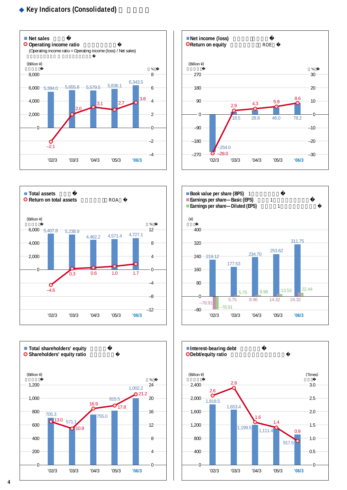## **Key Indicators (Consolidated)**











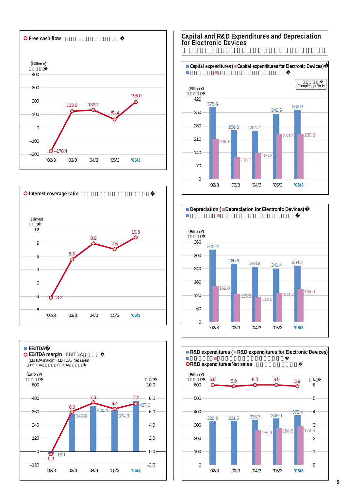





#### **Capital and R&D Expenditures and Depreciation for Electronic Devices**





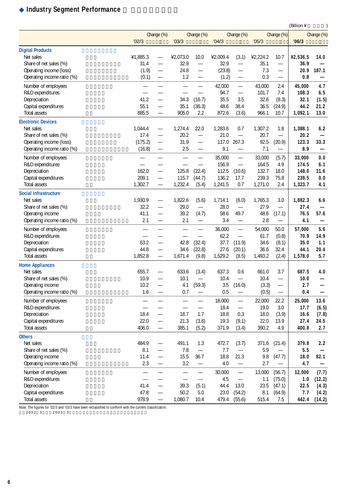## **Industry Segment Performance**

|                              |          |                          |                                |                          |          |                          |          |                          | (Billion ¥ | $\mathcal{E}$            |
|------------------------------|----------|--------------------------|--------------------------------|--------------------------|----------|--------------------------|----------|--------------------------|------------|--------------------------|
|                              |          | Change (%)               |                                | Change (%)               |          | Change (%)               |          | Change (%)               |            | Change (%)               |
|                              | '02/3    |                          | '03/3                          |                          | '04/3    |                          | '05/3    |                          | '06/3      |                          |
| <b>Digital Products</b>      |          |                          |                                |                          |          |                          |          |                          |            |                          |
| Net sales                    | ¥1,885.3 | $\overline{\phantom{0}}$ | ¥2,073.0                       | 10.0                     | ¥2,009.4 | (3.1)                    | ¥2,224.2 | 10.7                     | ¥2,536.5   | 14.0                     |
| Share of net sales (%)       | 31.4     |                          | 32.9                           |                          | 32.9     |                          | 35.1     | $\overline{\phantom{0}}$ | 36.9       |                          |
| Operating income (loss)      | (1.9)    | —                        | 24.8                           | —                        | (23.8)   | $\qquad \qquad -$        | 7.3      | —                        | 20.9       | 187.1                    |
| Operating income ratio (%)   | (0.1)    |                          | 1.2                            |                          | (1.2)    | $\overline{\phantom{0}}$ | 0.3      | $\overline{\phantom{0}}$ | 0.8        |                          |
| Number of employees          |          | $\overline{\phantom{0}}$ |                                | $\overline{\phantom{0}}$ | 42,000   | $\overline{\phantom{0}}$ | 43,000   | 2.4                      | 45,000     | 4.7                      |
| R&D expenditures             |          |                          |                                |                          | 94.7     | $\equiv$                 | 101.7    | 7.4                      | 108.3      | 6.5                      |
| Depreciation                 | 41.2     | $\overline{\phantom{0}}$ | 34.3                           | (16.7)                   | 35.5     | 3.5                      | 32.6     | (8.3)                    | 32.1       | (1.5)                    |
| Capital expenditures         | 55.1     | $\overline{\phantom{0}}$ | 35.1                           | (36.3)                   | 48.6     | 38.4                     | 36.5     | (24.9)                   | 44.2       | 21.2                     |
| Total assets                 | 885.5    | $\overline{\phantom{0}}$ | 905.0                          | 2.2                      | 872.6    | (3.6)                    | 966.1    | 10.7                     | 1,092.1    | 13.0                     |
| <b>Electronic Devices</b>    |          |                          |                                |                          |          |                          |          |                          |            |                          |
| Net sales                    | 1,044.4  | $\qquad \qquad -$        | 1,274.4                        | 22.0                     | 1,283.6  | 0.7                      | 1,307.2  | 1.8                      | 1,388.1    | 6.2                      |
| Share of net sales (%)       | 17.4     | —                        | 20.2                           | $\overline{\phantom{0}}$ | 21.0     |                          | 20.7     | $\overline{\phantom{0}}$ | 20.2       |                          |
| Operating income (loss)      | (175.2)  | $\overline{\phantom{0}}$ | 31.9                           | $\overline{\phantom{0}}$ | 117.0    | 267.3                    | 92.5     | (20.9)                   | 123.3      | 33.3                     |
| Operating income ratio (%)   | (16.8)   | —                        | 2.5                            |                          | 9.1      | $\qquad \qquad -$        | 7.1      | $\overline{\phantom{0}}$ | 8.9        | —                        |
| Number of employees          | —        | $\overline{\phantom{0}}$ | $\overline{\phantom{0}}$       | $\overline{\phantom{0}}$ | 35,000   | $\overline{\phantom{0}}$ | 33,000   | (5.7)                    | 33,000     | 0.0                      |
| R&D expenditures             |          |                          |                                |                          | 156.9    |                          | 164.5    | 4.9                      | 174.5      | 6.1                      |
| Depreciation                 | 162.0    | $\overline{\phantom{0}}$ | 125.8                          | (22.4)                   | 112.5    | (10.6)                   | 132.7    | 18.0                     | 148.0      | 11.6                     |
| Capital expenditures         | 209.1    | $\overline{\phantom{0}}$ | 115.7                          | (44.7)                   | 136.2    | 17.7                     | 239.3    | 75.8                     | 239.5      | 0.0                      |
| Total assets                 | 1,302.7  | $\overline{\phantom{0}}$ | 1,232.4                        | (5.4)                    | 1,241.5  | 0.7                      | 1,271.0  | 2.4                      | 1,323.7    | 4.1                      |
| <b>Social Infrastructure</b> |          |                          |                                |                          |          |                          |          |                          |            |                          |
| Net sales                    | 1,930.9  | $\overline{\phantom{0}}$ | 1,822.6                        | (5.6)                    | 1,714.1  | (6.0)                    | 1,765.3  | 3.0                      | 1,882.3    | 6.6                      |
| Share of net sales (%)       | 32.2     | $\overline{\phantom{0}}$ | 29.0                           | $\overline{\phantom{0}}$ | 28.0     |                          | 27.9     |                          | 27.4       |                          |
| Operating income             | 41.1     |                          | 39.2                           | (4.7)                    | 58.6     | 49.7                     | 48.6     | (17.1)                   | 76.5       | 57.6                     |
| Operating income ratio (%)   | 2.1      | $\overline{\phantom{0}}$ | 2.1                            | $\overline{\phantom{0}}$ | 3.4      |                          | 2.8      | $\overline{\phantom{0}}$ | 4.1        | —                        |
| Number of employees          | —        | —                        | $\overline{\phantom{0}}$       |                          | 36,000   |                          | 54,000   | 50.0                     | 57,000     | 5.6                      |
| R&D expenditures             |          |                          |                                |                          | 62.2     | $\overline{\phantom{0}}$ | 61.7     | (0.8)                    | 70.9       | 14.9                     |
| Depreciation                 | 63.2     | $\overline{\phantom{0}}$ | 42.8                           | (32.4)                   | 37.7     | (11.9)                   | 34.6     | (8.1)                    | 35.0       | 1.1                      |
| Capital expenditures         | 44.8     | $\qquad \qquad -$        | 34.6                           | (22.8)                   | 27.6     | (20.1)                   | 36.6     | 32.4                     | 44.1       | 20.4                     |
| Total assets                 | 1,852.8  | $\qquad \qquad -$        | 1,671.4                        | (9.8)                    | 1,529.2  | (8.5)                    | 1,493.2  | (2.4)                    | 1,578.0    | 5.7                      |
| <b>Home Appliances</b>       |          |                          |                                |                          |          |                          |          |                          |            |                          |
| Net sales                    | 655.7    | —                        | 633.6                          | (3.4)                    | 637.3    | 0.6                      | 661.0    | 3.7                      | 687.5      | 4.0                      |
| Share of net sales (%)       | 10.9     | $\overline{\phantom{0}}$ | 10.1                           | $\overline{\phantom{0}}$ | 10.4     | $\overline{\phantom{0}}$ | 10.4     | $\overline{\phantom{0}}$ | 10.0       | $\overline{\phantom{0}}$ |
| Operating income             | 10.2     | —                        | 4.1                            | (59.3)                   | 3.5      | (16.0)                   | (3.3)    | —                        | 2.7        |                          |
| Operating income ratio (%)   | 1.6      | —                        | 0.7                            | $\overline{\phantom{0}}$ | 0.5      |                          | (0.5)    | —                        | 0.4        |                          |
| Number of employees          |          | $\overline{\phantom{0}}$ | $\overline{\phantom{0}}$       | $\overline{\phantom{0}}$ | 18,000   | $\overline{\phantom{0}}$ | 22,000   | 22.2                     | 25,000     | 13.6                     |
| R&D expenditures             |          |                          |                                |                          | 18.4     |                          | 19.0     | 3.0                      | 17.7       | (6.5)                    |
| Depreciation                 | 18.4     | $\overline{\phantom{0}}$ | 18.7                           | 1.7                      | 18.8     | 0.3                      | 18.0     | (3.9)                    | 16.6       | (7.8)                    |
| Capital expenditures         | 22.0     | $\overline{\phantom{0}}$ | 21.3                           | (3.6)                    | 19.3     | (9.1)                    | 22.0     | 13.9                     | 27.4       | 24.5                     |
| Total assets                 | 406.0    |                          | 385.1                          | (5.2)                    | 371.9    | (3.4)                    | 390.2    | 4.9                      | 400.8      | 2.7                      |
| <b>Others</b>                |          |                          |                                |                          |          |                          |          |                          |            |                          |
| Net sales                    | 484.9    | $\overline{\phantom{0}}$ | 491.1                          | 1.3                      | 472.7    | (3.7)                    | 371.6    | (21.4)                   | 379.8      | 2.2                      |
| Share of net sales (%)       | 8.1      | $\overline{\phantom{0}}$ | 7.8                            |                          | 7.7      | $\overline{\phantom{0}}$ | 5.9      |                          | 5.5        |                          |
| Operating income             | 11.4     | $\overline{\phantom{0}}$ | 15.5                           | 36.7                     | 18.8     | 21.3                     | 9.8      | (47.7)                   | 18.0       | 82.1                     |
| Operating income ratio (%)   | 2.3      | $\qquad \qquad -$        | 3.2                            | $\overline{\phantom{0}}$ | $4.0$    | $\overline{\phantom{0}}$ | 2.7      | $\overline{\phantom{0}}$ | 4.7        |                          |
| Number of employees          | —        | $\overline{\phantom{0}}$ | $\qquad \qquad \longleftarrow$ | $\overline{\phantom{0}}$ | 30,000   | $\qquad \qquad -$        | 13,000   | (56.7)                   | 12,000     | (7.7)                    |
| R&D expenditures             |          |                          | $\overline{\phantom{0}}$       | $\overline{\phantom{0}}$ | 4.5      | $\equiv$                 | 1.1      | (75.0)                   | 1.0        | (12.2)                   |
| Depreciation                 | 41.4     | $\overline{\phantom{0}}$ | 39.3                           | (5.1)                    | 44.4     | 13.0                     | 23.5     | (47.1)                   | 22.5       | (4.3)                    |
| Capital expenditures         | 47.8     | $\overline{\phantom{0}}$ | 50.2                           | 5.0                      | 23.0     | (54.2)                   | 8.1      | (64.9)                   | 7.7        | (4.2)                    |
| Total assets                 | 978.9    | $\overline{\phantom{0}}$ | 1,080.7                        | 10.4                     | 479.4    | (55.6)                   | 515.4    | 7.5                      | 442.4      | (14.2)                   |

Note: The figures for '02/3 and '03/3 have been reclassified to conform with the current classification.<br>2002 3 2003 3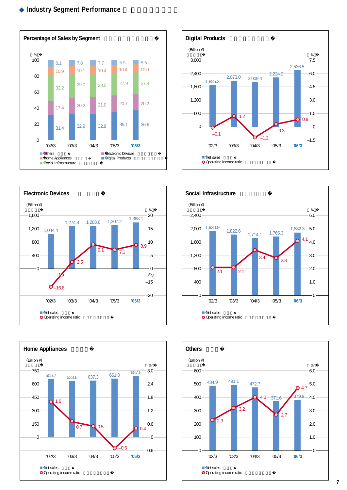### **Industry Segment Performance**











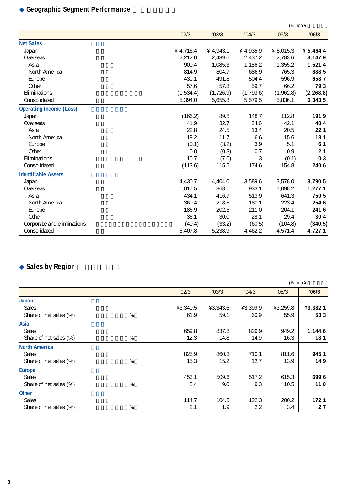## **Geographic Segment Performance**

|                                |           |            |           | (Billion ¥  |            |
|--------------------------------|-----------|------------|-----------|-------------|------------|
|                                | '02/3     | '03/3      | '04/3     | '05/3       | '06/3      |
| <b>Net Sales</b>               |           |            |           |             |            |
| Japan                          | ¥ 4,716.4 | ¥ 4,943.1  | ¥4,935.9  | ¥ $5,015.3$ | ¥ 5,464.4  |
| Overseas                       | 2,212.0   | 2,439.6    | 2,437.2   | 2,783.6     | 3,147.9    |
| Asia                           | 900.4     | 1,085.3    | 1,186.2   | 1,355.2     | 1,521.4    |
| North America                  | 814.9     | 804.7      | 686.9     | 765.3       | 888.5      |
| Europe                         | 439.1     | 491.8      | 504.4     | 596.9       | 658.7      |
| Other                          | 57.6      | 57.8       | 59.7      | 66.2        | 79.3       |
| Eliminations                   | (1,534.4) | (1, 726.9) | (1,793.6) | (1,962.8)   | (2, 268.8) |
| Consolidated                   | 5,394.0   | 5,655.8    | 5,579.5   | 5,836.1     | 6,343.5    |
| <b>Operating Income (Loss)</b> |           |            |           |             |            |
| Japan                          | (166.2)   | 89.8       | 148.7     | 112.8       | 191.9      |
| Overseas                       | 41.9      | 32.7       | 24.6      | 42.1        | 48.4       |
| Asia                           | 22.8      | 24.5       | 13.4      | 20.5        | 22.1       |
| North America                  | 19.2      | 11.7       | 6.6       | 15.6        | 18.1       |
| Europe                         | (0.1)     | (3.2)      | 3.9       | 5.1         | 6.1        |
| Other                          | 0.0       | (0.3)      | 0.7       | 0.9         | 2.1        |
| Eliminations                   | 10.7      | (7.0)      | 1.3       | (0.1)       | 0.3        |
| Consolidated                   | (113.6)   | 115.5      | 174.6     | 154.8       | 240.6      |
| <b>Identifiable Assets</b>     |           |            |           |             |            |
| Japan                          | 4,430.7   | 4,404.0    | 3,589.6   | 3,578.0     | 3,790.5    |
| Overseas                       | 1,017.5   | 868.1      | 933.1     | 1,098.2     | 1,277.1    |
| Asia                           | 434.1     | 416.7      | 513.9     | 641.3       | 750.5      |
| North America                  | 360.4     | 218.8      | 180.1     | 223.4       | 254.6      |
| Europe                         | 186.9     | 202.6      | 211.0     | 204.1       | 241.6      |
| Other                          | 36.1      | 30.0       | 28.1      | 29.4        | 30.4       |
| Corporate and eliminations     | (40.4)    | (33.2)     | (60.5)    | (104.8)     | (340.5)    |
| Consolidated                   | 5,407.8   | 5,238.9    | 4,462.2   | 4,571.4     | 4,727.1    |

## **Sales by Region**

|                        |   |          |          |          | (Billion ¥ |          |
|------------------------|---|----------|----------|----------|------------|----------|
|                        |   | '02/3    | '03/3    | '04/3    | '05/3      | '06/3    |
| Japan                  |   |          |          |          |            |          |
| <b>Sales</b>           |   | ¥3,340.5 | ¥3,343.6 | ¥3,399.9 | ¥3,259.8   | ¥3,382.1 |
| Share of net sales (%) | % | 61.9     | 59.1     | 60.9     | 55.9       | 53.3     |
| Asia                   |   |          |          |          |            |          |
| <b>Sales</b>           |   | 659.8    | 837.8    | 829.9    | 949.2      | 1,144.6  |
| Share of net sales (%) | % | 12.3     | 14.8     | 14.9     | 16.3       | 18.1     |
| <b>North America</b>   |   |          |          |          |            |          |
| <b>Sales</b>           |   | 825.9    | 860.3    | 710.1    | 811.6      | 945.1    |
| Share of net sales (%) | % | 15.3     | 15.2     | 12.7     | 13.9       | 14.9     |
| <b>Europe</b>          |   |          |          |          |            |          |
| Sales                  |   | 453.1    | 509.6    | 517.2    | 615.3      | 699.6    |
| Share of net sales (%) | % | 8.4      | 9.0      | 9.3      | 10.5       | 11.0     |
| <b>Other</b>           |   |          |          |          |            |          |
| <b>Sales</b>           |   | 114.7    | 104.5    | 122.3    | 200.2      | 172.1    |
| Share of net sales (%) | % | 2.1      | 1.9      | 2.2      | 3.4        | 2.7      |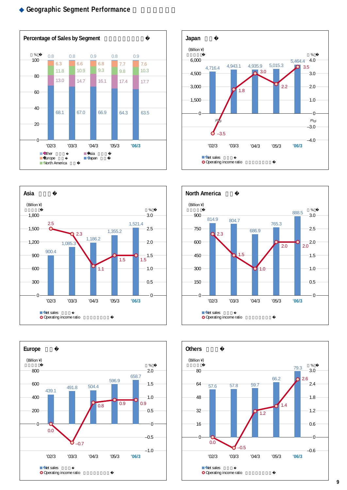## **Geographic Segment Performance**











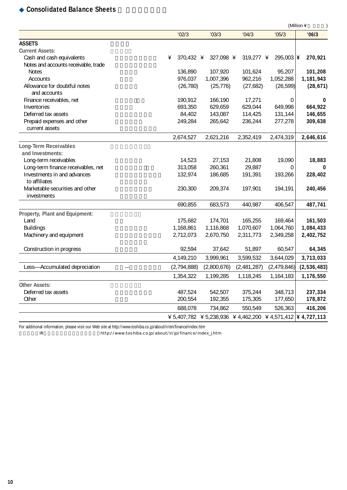## **Consolidated Balance Sheets**

|                                      |                |                                                                             |             |              | (Million ¥  |
|--------------------------------------|----------------|-----------------------------------------------------------------------------|-------------|--------------|-------------|
|                                      | '02/3          | '03/3                                                                       | '04/3       | '05/3        | '06/3       |
| <b>ASSETS</b>                        |                |                                                                             |             |              |             |
| <b>Current Assets:</b>               |                |                                                                             |             |              |             |
| Cash and cash equivalents            | ¥<br>370,432 ¥ | 327,098 ¥                                                                   | 319,277 ¥   | $295,003$  ¥ | 270,921     |
| Notes and accounts receivable, trade |                |                                                                             |             |              |             |
| <b>Notes</b>                         | 136,890        | 107,920                                                                     | 101,624     | 95,207       | 101,208     |
| Accounts                             | 976,037        | 1,007,396                                                                   | 962.216     | 1,052,288    | 1,181,943   |
| Allowance for doubtful notes         | (26, 780)      | (25, 776)                                                                   | (27,682)    | (26, 599)    | (28, 671)   |
| and accounts                         |                |                                                                             |             |              |             |
| Finance receivables, net             | 190,912        | 166,190                                                                     | 17,271      | 0            | 0           |
| Inventories                          | 693,350        | 629,659                                                                     | 629,044     | 649,998      | 664,922     |
| Deferred tax assets                  | 84,402         | 143,087                                                                     | 114,425     | 131,144      | 146,655     |
| Prepaid expenses and other           | 249,284        | 265,642                                                                     | 236,244     | 277,278      | 309,638     |
| current assets                       |                |                                                                             |             |              |             |
|                                      | 2,674,527      | 2,621,216                                                                   | 2,352,419   | 2,474,319    | 2,646,616   |
| <b>Long-Term Receivables</b>         |                |                                                                             |             |              |             |
| and Investments:                     |                |                                                                             |             |              |             |
| Long-term receivables                | 14,523         | 27,153                                                                      | 21,808      | 19,090       | 18,883      |
| Long-term finance receivables, net   | 313,058        | 260,361                                                                     | 29,887      | 0            | 0           |
| Investments in and advances          | 132,974        | 186,685                                                                     | 191,391     | 193,266      | 228,402     |
| to affiliates                        |                |                                                                             |             |              |             |
| Marketable securities and other      | 230,300        | 209,374                                                                     | 197,901     | 194,191      | 240,456     |
| investments                          |                |                                                                             |             |              |             |
|                                      | 690,855        | 683,573                                                                     | 440,987     | 406,547      | 487,741     |
| Property, Plant and Equipment:       |                |                                                                             |             |              |             |
| Land                                 | 175,682        | 174,701                                                                     | 165,255     | 169,464      | 161,503     |
| <b>Buildings</b>                     | 1,168,861      | 1,116,868                                                                   | 1,070,607   | 1,064,760    | 1,084,433   |
| Machinery and equipment              | 2,712,073      | 2,670,750                                                                   | 2,311,773   | 2,349,258    | 2,402,752   |
|                                      |                |                                                                             |             |              |             |
| Construction in progress             | 92,594         | 37,642                                                                      | 51,897      | 60,547       | 64,345      |
|                                      | 4,149,210      | 3,999,961                                                                   | 3,599,532   | 3,644,029    | 3,713,033   |
| Less-Accumulated depreciation        | (2,794,888)    | (2,800,676)                                                                 | (2,481,287) | (2,479,846)  | (2,536,483) |
|                                      | 1,354,322      | 1,199,285                                                                   | 1,118,245   | 1,164,183    | 1,176,550   |
| <b>Other Assets:</b>                 |                |                                                                             |             |              |             |
| Deferred tax assets                  | 487,524        | 542,507                                                                     | 375,244     | 348,713      | 237,334     |
| Other                                | 200,554        | 192,355                                                                     | 175,305     | 177,650      | 178,872     |
|                                      | 688,078        | 734,862                                                                     | 550,549     | 526,363      | 416,206     |
|                                      |                | $\frac{1}{4}$ 5,407,782 \; 5,238,936 \; 4,462,200 \; 4,571,412 \; 4,727,113 |             |              |             |

For additional information, please visit our Web site at http://www.toshiba.co.jp/about/ir/en/finance/index.htm

IR http://www.toshiba.co.jp/about/ir/jp/finance/index\_j.htm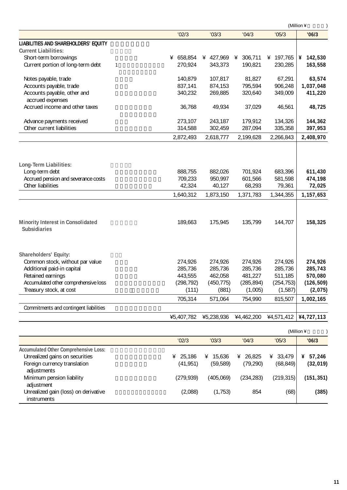|                                                          |            |            |                     |            | (Million ¥ |
|----------------------------------------------------------|------------|------------|---------------------|------------|------------|
|                                                          | '02/3      | '03/3      | '04/3               | '05/3      | '06/3      |
| LIABILITIES AND SHAREHOLDERS' EQUITY                     |            |            |                     |            |            |
| <b>Current Liabilities:</b>                              |            |            |                     |            |            |
| Short-term borrowings                                    | ¥ 658,854  |            | ¥ 427,969 ¥ 306,711 | ¥ 197,765  | ¥ 142,530  |
| Current portion of long-term debt<br>$\mathbf{1}$        | 270,924    | 343,373    | 190,821             | 230,285    | 163,558    |
| Notes payable, trade                                     | 140,879    | 107,817    | 81,827              | 67,291     | 63,574     |
| Accounts payable, trade                                  | 837,141    | 874,153    | 795,594             | 906,248    | 1,037,048  |
| Accounts payable, other and<br>accrued expenses          | 340,232    | 269,885    | 320,640             | 349,009    | 411,220    |
| Accrued income and other taxes                           | 36,768     | 49,934     | 37,029              | 46,561     | 48,725     |
| Advance payments received                                | 273,107    | 243,187    | 179,912             | 134,326    | 144,362    |
| Other current liabilities                                | 314,588    | 302,459    | 287,094             | 335,358    | 397,953    |
|                                                          | 2,872,493  | 2,618,777  | 2,199,628           | 2,266,843  | 2,408,970  |
|                                                          |            |            |                     |            |            |
| Long-Term Liabilities:                                   |            |            |                     |            |            |
| Long-term debt                                           | 888,755    | 882,026    | 701,924             | 683,396    | 611,430    |
| Accrued pension and severance costs                      | 709,233    | 950,997    | 601,566             | 581,598    | 474,198    |
| Other liabilities                                        | 42,324     | 40,127     | 68,293              | 79,361     | 72,025     |
|                                                          | 1,640,312  | 1,873,150  | 1,371,783           | 1,344,355  | 1,157,653  |
| Minority Interest in Consolidated<br><b>Subsidiaries</b> | 189.663    | 175,945    | 135,799             | 144.707    | 158,325    |
| Shareholders' Equity:                                    |            |            |                     |            |            |
| Common stock, without par value                          | 274,926    | 274,926    | 274,926             | 274,926    | 274,926    |
| Additional paid-in capital                               | 285,736    | 285,736    | 285,736             | 285,736    | 285,743    |
| Retained earnings                                        | 443,555    | 462,058    | 481,227             | 511,185    | 570,080    |
| Accumulated other comprehensive loss                     | (298, 792) | (450, 775) | (285, 894)          | (254, 753) | (126, 509) |
| Treasury stock, at cost                                  | (111)      | (881)      | (1,005)             | (1, 587)   | (2,075)    |
|                                                          | 705,314    | 571,064    | 754,990             | 815,507    | 1,002,165  |
| Commitments and contingent liabilities                   |            |            |                     |            |            |
|                                                          | ¥5,407,782 | ¥5,238,936 | ¥4,462,200          | ¥4,571,412 | ¥4,727,113 |
|                                                          |            |            |                     |            | (Million ¥ |

|                                              |             |             |           |             | $111111111111 +$ |
|----------------------------------------------|-------------|-------------|-----------|-------------|------------------|
|                                              | '02/3       | '03/3       | '04/3     | '05/3       | '06/3            |
| <b>Accumulated Other Comprehensive Loss:</b> |             |             |           |             |                  |
| Unrealized gains on securities               | 25.186<br>¥ | 15,636<br>¥ | ¥ 26.825  | 33,479<br>¥ | 57,246<br>¥      |
| Foreign currency translation                 | (41, 951)   | (59.589)    | (79, 290) | (68, 849)   | (32, 019)        |
| adjustments                                  |             |             |           |             |                  |
| Minimum pension liability                    | (279.939)   | (405.069)   | (234.283) | (219, 315)  | (151, 351)       |
| adjustment                                   |             |             |           |             |                  |
| Unrealized gain (loss) on derivative         | (2,088)     | (1,753)     | 854       | (68)        | (385)            |
| <i>instruments</i>                           |             |             |           |             |                  |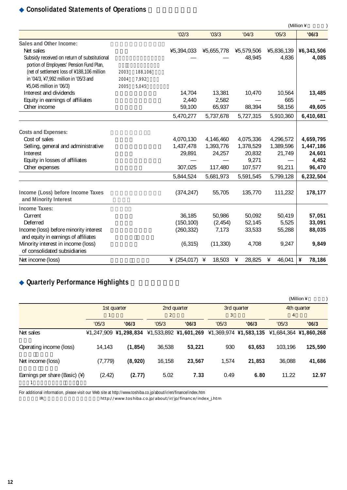## **Consolidated Statements of Operations**

|                                                                                                                                                              |                      |                           |                          | (Million ¥        |                      |                     |                     |
|--------------------------------------------------------------------------------------------------------------------------------------------------------------|----------------------|---------------------------|--------------------------|-------------------|----------------------|---------------------|---------------------|
|                                                                                                                                                              |                      |                           | '02/3                    | '03/3             | '04/3                | '05/3               | '06/3               |
| Sales and Other Income:<br>Net sales<br>Subsidy received on return of substitutional                                                                         |                      |                           | ¥5,394,033               | ¥5,655,778        | ¥5,579,506<br>48,945 | ¥5,836,139<br>4,836 | ¥6,343,506<br>4,085 |
| portion of Employees' Pension Fund Plan,<br>(net of settlement loss of ¥188,106 million<br>in '04/3, ¥7,992 million in '05/3 and<br>¥5,045 million in '06/3) | 2003<br>2004<br>2005 | 188,106<br>7,992<br>5,045 |                          |                   |                      |                     |                     |
| Interest and dividends                                                                                                                                       |                      |                           | 14,704                   | 13,381            | 10,470               | 10,564              | 13,485              |
| Equity in earnings of affiliates                                                                                                                             |                      |                           | 2,440                    | 2,582             |                      | 665                 |                     |
| Other income                                                                                                                                                 |                      |                           | 59,100                   | 65,937            | 88,394               | 58,156              | 49,605              |
|                                                                                                                                                              |                      |                           | 5,470,277                | 5,737,678         | 5,727,315            | 5,910,360           | 6,410,681           |
| <b>Costs and Expenses:</b>                                                                                                                                   |                      |                           |                          |                   |                      |                     |                     |
| Cost of sales                                                                                                                                                |                      |                           | 4,070,130                | 4,146,460         | 4,075,336            | 4,296,572           | 4,659,795           |
| Selling, general and administrative                                                                                                                          |                      |                           | 1,437,478                | 1,393,776         | 1,378,529            | 1,389,596           | 1,447,186           |
| Interest                                                                                                                                                     |                      |                           | 29,891                   | 24,257            | 20,832               | 21,749              | 24,601              |
| Equity in losses of affiliates<br>Other expenses                                                                                                             |                      |                           | 307,025                  | 117,480           | 9,271<br>107,577     | 91,211              | 4,452<br>96,470     |
|                                                                                                                                                              |                      |                           | 5,844,524                | 5,681,973         | 5,591,545            | 5,799,128           | 6,232,504           |
| Income (Loss) before Income Taxes<br>and Minority Interest                                                                                                   |                      |                           | (374, 247)               | 55,705            | 135,770              | 111,232             | 178,177             |
| <b>Income Taxes:</b>                                                                                                                                         |                      |                           |                          |                   |                      |                     |                     |
| Current<br>Deferred                                                                                                                                          |                      |                           | 36,185                   | 50,986            | 50,092               | 50,419              | 57,051              |
| Income (loss) before minority interest                                                                                                                       |                      |                           | (150, 100)<br>(260, 332) | (2, 454)<br>7,173 | 52,145<br>33,533     | 5,525<br>55,288     | 33,091<br>88,035    |
| and equity in earnings of affiliates                                                                                                                         |                      |                           |                          |                   |                      |                     |                     |
| Minority interest in income (loss)<br>of consolidated subsidiaries                                                                                           |                      |                           | (6, 315)                 | (11, 330)         | 4,708                | 9,247               | 9,849               |
| Net income (loss)                                                                                                                                            |                      |                           | ¥ $(254, 017)$ ¥         | 18,503            | ¥<br>28,825          | ¥<br>46,041         | ¥<br>78,186         |

## **Quarterly Performance Highlights**

|                                |          |                                                                                         |                         |             |            |             |                         | (Million ¥  |
|--------------------------------|----------|-----------------------------------------------------------------------------------------|-------------------------|-------------|------------|-------------|-------------------------|-------------|
|                                |          | 1st quarter                                                                             |                         | 2nd quarter |            | 3rd quarter |                         | 4th quarter |
|                                | '05/3    | '06/3                                                                                   | $\overline{2}$<br>'05/3 | '06/3       | 3<br>'05/3 | '06/3       | $\overline{4}$<br>'05/3 | '06/3       |
| Net sales                      |          | ¥1,247,909 ¥1,298,834 ¥1,533,892 ¥1,601,269 ¥1,369,974 ¥1,583,135 ¥1,684,364 ¥1,860,268 |                         |             |            |             |                         |             |
| Operating income (loss)        | 14,143   | (1, 854)                                                                                | 36,538                  | 53,221      | 930        | 63,653      | 103,196                 | 125,590     |
| Net income (loss)              | (7, 779) | (8,920)                                                                                 | 16,158                  | 23,567      | 1,574      | 21,853      | 36,088                  | 41,686      |
| Earnings per share (Basic) (¥) | (2.42)   | (2.77)                                                                                  | 5.02                    | 7.33        | 0.49       | 6.80        | 11.22                   | 12.97       |

For additional information, please visit our Web site at http://www.toshiba.co.jp/about/ir/en/finance/index.htm

IR http://www.toshiba.co.jp/about/ir/jp/finance/index\_j.htm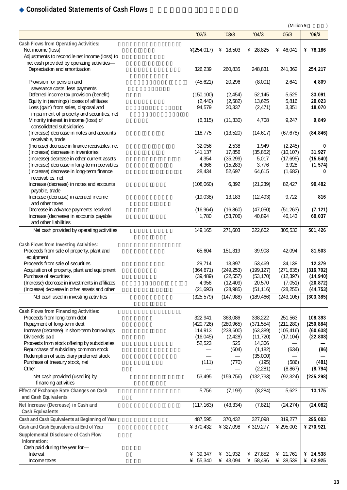## **Consolidated Statements of Cash Flows**

|                                                                      |               |            |                   | (Million ¥        |                   |
|----------------------------------------------------------------------|---------------|------------|-------------------|-------------------|-------------------|
|                                                                      | '02/3         | '03/3      | '04/3             | '05/3             | '06/3             |
| Cash Flows from Operating Activities:                                |               |            |                   |                   |                   |
| Net income (loss)                                                    | $*(254, 017)$ | ¥ 18,503   | ¥ 28,825          | ¥ 46,041          | ¥ 78,186          |
| Adjustments to reconcile net income (loss) to                        |               |            |                   |                   |                   |
| net cash provided by operating activities-                           |               |            |                   |                   |                   |
| Depreciation and amortization                                        | 326,239       | 260,835    | 248,831           | 241,362           | 254,217           |
| Provision for pension and                                            | (45,621)      | 20,296     | (8,001)           | 2,641             | 4,809             |
| severance costs, less payments                                       |               |            |                   |                   |                   |
| Deferred income tax provision (benefit)                              | (150, 100)    | (2, 454)   | 52,145            | 5,525             | 33,091            |
| Equity in (earnings) losses of affiliates                            | (2, 440)      | (2,582)    | 13,625            | 5,816             | 20,023            |
| Loss (gain) from sales, disposal and                                 | 94,579        | 30,337     | (2, 471)          | 3,351             | 18,070            |
| impairment of property and securities, net                           |               |            |                   |                   |                   |
| Minority interest in income (loss) of                                | (6, 315)      | (11, 330)  | 4,708             | 9,247             | 9,849             |
| consolidated subsidiaries                                            |               |            |                   |                   |                   |
| (Increase) decrease in notes and accounts                            | 118,775       | (13,520)   | (14,617)          | (67, 678)         | (84, 846)         |
| receivable, trade<br>(Increase) decrease in finance receivables, net | 32,056        | 2,538      | 1,949             | (2, 245)          | 0                 |
| (Increase) decrease in inventories                                   | 141,137       | 17,856     | (35, 852)         | (10, 107)         | 31,927            |
| (Increase) decrease in other current assets                          | 4,354         | (35, 299)  | 5,017             | (17, 695)         | (15, 540)         |
| (Increase) decrease in long-term receivables                         | 4,366         | (15, 283)  | 3,776             | 3,928             | (1, 574)          |
| (Increase) decrease in long-term finance                             | 28,434        | 52,697     | 64,615            | (1,682)           | 0                 |
| receivables, net                                                     |               |            |                   |                   |                   |
| Increase (decrease) in notes and accounts                            | (108,060)     | 6,392      | (21, 239)         | 82,427            | 90,482            |
| payable, trade                                                       |               |            |                   |                   |                   |
| Increase (decrease) in accrued income                                | (19,038)      | 13,183     | (12, 493)         | 9,722             | 816               |
| and other taxes                                                      |               |            |                   |                   |                   |
| Decrease in advance payments received                                | (16, 964)     | (16, 860)  | (47,050)          | (51, 263)         | (7, 121)          |
| Increase (decrease) in accounts payable<br>and other liabilities     | 1,780         | (53, 706)  | 40,894            | 46,143            | 69,037            |
| Net cash provided by operating activities                            | 149,165       | 271,603    | 322,662           | 305,533           | 501,426           |
|                                                                      |               |            |                   |                   |                   |
| Cash Flows from Investing Activities:                                |               |            |                   |                   |                   |
| Proceeds from sale of property, plant and                            | 65,604        | 151,319    | 39,908            | 42,094            | 81,503            |
| equipment                                                            |               |            |                   |                   |                   |
| Proceeds from sale of securities                                     | 29,714        | 13,897     | 53,469            | 34,138            | 12,379            |
| Acquisition of property, plant and equipment                         | (364, 671)    | (249, 253) | (199, 127)        | (271, 635)        | (316, 702)        |
| Purchase of securities                                               | (39, 489)     | (22, 557)  | (53, 170)         | (12, 397)         | (14, 940)         |
| (Increase) decrease in investments in affiliates                     | 4,956         | (12, 409)  | 20,570            | (7,051)           | (20, 872)         |
| (Increase) decrease in other assets and other                        | (21, 693)     | (28, 985)  | (51, 116)         | (28, 255)         | (44, 753)         |
| Net cash used in investing activities                                | (325, 579)    | (147,988)  | (189, 466)        | (243, 106)        | (303, 385)        |
| Cash Flows from Financing Activities:                                |               |            |                   |                   |                   |
| Proceeds from long-term debt                                         | 322,941       | 363,086    | 338,222           | 251,563           | 108,393           |
| Repayment of long-term debt                                          | (420, 726)    | (280, 965) | (371, 554)        | (211, 280)        | (250, 884)        |
| Increase (decrease) in short-term borrowings                         | 114,913       | (238,600)  | (63, 389)         | (105, 416)        | (60, 638)         |
| Dividends paid                                                       | (16, 045)     | (2, 428)   | (11, 720)         | (17, 104)         | (22, 808)         |
| Proceeds from stock offering by subsidiaries                         | 52,523        | 525        | 14,366            |                   |                   |
| Repurchase of subsidiary common stock                                |               | (604)      | (1, 182)          | (634)             | (86)              |
| Redemption of subsidiary preferred stock                             |               |            | (35,000)          |                   |                   |
| Purchase of treasury stock, net<br>Other                             | (111)         | (770)      | (195)<br>(2, 281) | (586)<br>(8, 867) | (481)<br>(8, 794) |
| Net cash provided (used in) by                                       | 53,495        | (159, 756) | (132, 733)        | (92, 324)         | (235, 298)        |
| financing activities                                                 |               |            |                   |                   |                   |
| Effect of Exchange Rate Changes on Cash                              | 5,756         | (7, 193)   | (8, 284)          | 5,623             | 13,175            |
| and Cash Equivalents                                                 |               |            |                   |                   |                   |
| Net Increase (Decrease) in Cash and                                  | (117, 163)    | (43, 334)  | (7, 821)          | (24, 274)         | (24, 082)         |
| <b>Cash Equivalents</b>                                              |               |            |                   |                   |                   |
| Cash and Cash Equivalents at Beginning of Year                       | 487,595       | 370,432    | 327,098           | 319,277           | 295,003           |
|                                                                      |               |            |                   |                   |                   |
| Cash and Cash Equivalents at End of Year                             | ¥ 370,432     | ¥ 327,098  | ¥ 319,277         | ¥ 295,003         | ¥ 270,921         |
| Supplemental Disclosure of Cash Flow<br>Information:                 |               |            |                   |                   |                   |
| Cash paid during the year for-                                       |               |            |                   |                   |                   |
| Interest                                                             | ¥ 39,347      | ¥ 31,932   | ¥ 27,852          | ¥ 21,761          | ¥ $24,538$        |
| Income taxes                                                         | ¥ 55,340      | ¥ 43,094   | ¥ 58,496          | ¥ 38,539          | ¥ 62,925          |
|                                                                      |               |            |                   |                   |                   |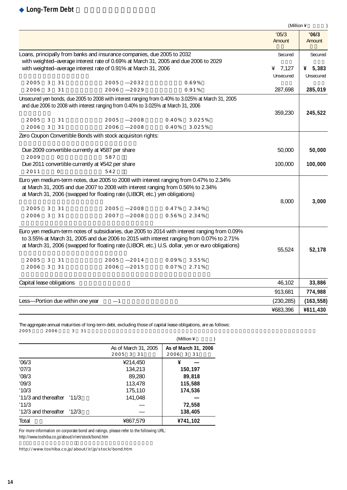|                           |   |                |                                                                                                                                                                                            |      |       |        | (Million ¥      | $\mathcal{E}$   |
|---------------------------|---|----------------|--------------------------------------------------------------------------------------------------------------------------------------------------------------------------------------------|------|-------|--------|-----------------|-----------------|
|                           |   |                |                                                                                                                                                                                            |      |       |        | '05/3<br>Amount | '06/3<br>Amount |
|                           |   |                | Loans, principally from banks and insurance companies, due 2005 to 2032<br>with weighted-average interest rate of 0.69% at March 31, 2005 and due 2006 to 2029                             |      |       |        | Secured         | Secured         |
|                           |   |                | with weighted-average interest rate of 0.91% at March 31, 2006                                                                                                                             |      |       |        | ¥ $7,127$       | ¥ $5,383$       |
|                           |   |                |                                                                                                                                                                                            |      |       |        | Unsecured       | Unsecured       |
| 2005                      | 3 | 31             | 2005                                                                                                                                                                                       | 2032 |       | 0.69%  |                 |                 |
| 2006                      | 3 | 31             | 2006                                                                                                                                                                                       | 2029 |       | 0.91%  | 287,698         | 285,019         |
|                           |   |                | Unsecured yen bonds, due 2005 to 2008 with interest ranging from 0.40% to 3.025% at March 31, 2005                                                                                         |      |       |        |                 |                 |
|                           |   |                | and due 2006 to 2008 with interest ranging from 0.40% to 3.025% at March 31, 2006                                                                                                          |      |       |        |                 |                 |
| 2005                      | 3 | 31             | 2005                                                                                                                                                                                       | 2008 | 0.40% | 3.025% | 359,230         | 245,522         |
| 2006                      | 3 | 31             | 2006                                                                                                                                                                                       | 2008 | 0.40% | 3.025% |                 |                 |
|                           |   |                | Zero Coupon Convertible Bonds with stock acquisiton rights:                                                                                                                                |      |       |        |                 |                 |
|                           |   |                |                                                                                                                                                                                            |      |       |        |                 |                 |
|                           |   |                | Due 2009 convertible currently at ¥587 per share                                                                                                                                           |      |       |        | 50,000          | 50,000          |
| 2009                      |   | $\overline{O}$ | 587                                                                                                                                                                                        |      |       |        |                 |                 |
|                           |   |                | Due 2011 convertible currently at ¥542 per share                                                                                                                                           |      |       |        | 100,000         | 100,000         |
| 2011                      |   | $\circ$        | 542                                                                                                                                                                                        |      |       |        |                 |                 |
|                           |   |                | Euro yen medium-term notes, due 2005 to 2008 with interest ranging from 0.47% to 2.34%                                                                                                     |      |       |        |                 |                 |
|                           |   |                | at March 31, 2005 and due 2007 to 2008 with interest ranging from 0.56% to 2.34%                                                                                                           |      |       |        |                 |                 |
|                           |   |                | at March 31, 2006 (swapped for floating rate (LIBOR, etc.) yen obligations)                                                                                                                |      |       |        |                 |                 |
|                           |   |                |                                                                                                                                                                                            |      |       |        | 8,000           | 3,000           |
| 2005                      | 3 | 31             | 2005                                                                                                                                                                                       | 2008 | 0.47% | 2.34%  |                 |                 |
| 2006                      | 3 | 31             | 2007                                                                                                                                                                                       | 2008 | 0.56% | 2.34%  |                 |                 |
|                           |   |                |                                                                                                                                                                                            |      |       |        |                 |                 |
|                           |   |                | Euro yen medium-term notes of subsidiaries, due 2005 to 2014 with interest ranging from 0.09%<br>to 3.55% at March 31, 2005 and due 2006 to 2015 with interest ranging from 0.07% to 2.71% |      |       |        |                 |                 |
|                           |   |                | at March 31, 2006 (swapped for floating rate (LIBOR, etc.) U.S. dollar, yen or euro obligations)                                                                                           |      |       |        |                 |                 |
|                           |   |                |                                                                                                                                                                                            |      |       |        | 55,524          | 52,178          |
| 2005                      | 3 | 31             | 2005                                                                                                                                                                                       | 2014 | 0.09% | 3.55%  |                 |                 |
| 2006                      | 3 | 31             | 2006                                                                                                                                                                                       | 2015 | 0.07% | 2.71%  |                 |                 |
|                           |   |                |                                                                                                                                                                                            |      |       |        |                 |                 |
| Capital lease obligations |   |                |                                                                                                                                                                                            |      |       |        | 46,102          | 33,886          |
|                           |   |                |                                                                                                                                                                                            |      |       |        | 913,681         | 774,988         |
|                           |   |                | Less-Portion due within one year<br>1                                                                                                                                                      |      |       |        | (230, 285)      | (163, 558)      |
|                           |   |                |                                                                                                                                                                                            |      |       |        | ¥683,396        | ¥611,430        |

The aggregate annual maturities of long-term debt, excluding those of capital lease obligations, are as follows:<br>2005 2006 3 31  $2005$   $2006$   $3$   $31$ 

|                                |                                   | (Million ¥                        |
|--------------------------------|-----------------------------------|-----------------------------------|
|                                | As of March 31, 2005<br>2005 3 31 | As of March 31, 2006<br>2006 3 31 |
| '06/3                          | ¥214,450                          | ¥                                 |
| '07/3                          | 134,213                           | 150,197                           |
| '08/3                          | 89,280                            | 89,818                            |
| '09/3                          | 113,478                           | 115,588                           |
| '10/3                          | 175,110                           | 174,536                           |
| $'11/3$ and thereafter $'11/3$ | 141,048                           |                                   |
| '11/3                          |                                   | 72,558                            |
| $'12/3$ and thereafter $'12/3$ |                                   | 138,405                           |
| Total                          | ¥867,579                          | ¥741,102                          |

For more information on corporate bond and ratings, please refer to the following URL: http://www.toshiba.co.jp/about/ir/en/stock/bond.htm

http://www.toshiba.co.jp/about/ir/jp/stock/bond.htm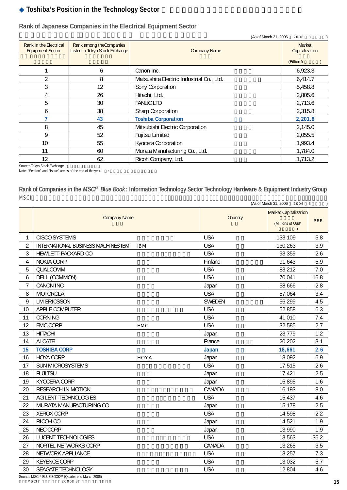## **Toshiba's Position in the Technology Sector**

|                                                                                                                 |    | (As of March 31, 2006                    | 2006 3                   |
|-----------------------------------------------------------------------------------------------------------------|----|------------------------------------------|--------------------------|
| Rank among the Companies<br>Rank in the Electrical<br>Listed in Tokyo Stock Exchange<br><b>Equipment Sector</b> |    | <b>Company Name</b>                      | Market<br>Capitalization |
|                                                                                                                 |    |                                          | (Billion ¥               |
|                                                                                                                 | 6  | Canon Inc.                               | 6,923.3                  |
| $\overline{2}$                                                                                                  | 8  | Matsushita Electric Industrial Co., Ltd. | 6,414.7                  |
| 3                                                                                                               | 12 | Sony Corporation                         | 5,458.8                  |
| 4                                                                                                               | 26 | Hitachi, Ltd.                            | 2,805.6                  |
| 5                                                                                                               | 30 | <b>FANUC LTD</b>                         | 2,713.6                  |
| 6                                                                                                               | 38 | <b>Sharp Corporation</b>                 | 2,315.8                  |
|                                                                                                                 | 43 | <b>Toshiba Corporation</b>               | 2,201.8                  |
| 8                                                                                                               | 45 | Mitsubishi Electric Corporation          | 2,145.0                  |
| 9                                                                                                               | 52 | <b>Fujitsu Limited</b>                   | 2,055.5                  |
| 10                                                                                                              | 55 | Kyocera Corporation                      | 1,993.4                  |
| 11                                                                                                              | 60 | Murata Manufacturing Co., Ltd.           | 1,784.0                  |
| 12                                                                                                              | 62 | Ricoh Company, Ltd.                      | 1,713.2                  |

#### **Rank of Japanese Companies in the Electrical Equipment Sector**

Source: Tokyo Stock Exchange

Note: "Section" and "Issue" are as of the end of the year.

### **Rank of Companies in the MSCI® Blue Book : Information Technology Sector Technology Hardware & Equipment Industry Group** MSCIブルーブックにおける時価総額ランク(インフォメーション テクノロジー セクター テクノロジー ハードウェア&イクイップメント インダストリー グループ)

|                 |                                                   |               | (As of March 31, 2006 2006 3 | $\lambda$ |
|-----------------|---------------------------------------------------|---------------|------------------------------|-----------|
|                 |                                                   |               | Market Capitalization        |           |
|                 | <b>Company Name</b>                               | Country       | (Millions of US\$/           | PBR       |
| $\mathbf{1}$    | <b>CISCO SYSTEMS</b>                              | <b>USA</b>    | 133,109                      | 5.8       |
| $\overline{2}$  | INTERNATIONAL BUSINESS MACHINES IBM<br><b>IBM</b> | <b>USA</b>    | 130,263                      | 3.9       |
| 3               | HEWLETT-PACKARD CO                                | <b>USA</b>    | 93,359                       | 2.6       |
| 4               | <b>NOKIA CORP</b>                                 | Finland       | 91,643                       | 5.9       |
| 5               | QUALCOMM                                          | <b>USA</b>    | 83,212                       | 7.0       |
| 6               | DELL (COMMON)                                     | <b>USA</b>    | 70.041                       | 16.8      |
| $7\overline{ }$ | <b>CANON INC</b>                                  | Japan         | 58,666                       | 2.8       |
| 8               | MOTOROLA                                          | <b>USA</b>    | 57,064                       | 3.4       |
| 9               | <b>LM ERICSSON</b>                                | <b>SWEDEN</b> | 56,299                       | 4.5       |
| 10 <sup>°</sup> | APPLE COMPUTER                                    | <b>USA</b>    | 52,858                       | 6.3       |
| 11              | CORNING                                           | <b>USA</b>    | 41,010                       | 7.4       |
| 12              | <b>EMC CORP</b><br>E MC                           | <b>USA</b>    | 32,585                       | 2.7       |
| 13              | <b>HITACHI</b>                                    | Japan         | 23,779                       | 1.2       |
| 14              | <b>ALCATEL</b>                                    | France        | 20,202                       | 3.1       |
| 15              | <b>TOSHIBA CORP</b>                               | <b>Japan</b>  | 18,661                       | 2.6       |
| 16              | <b>HOYA CORP</b><br>HOYA                          | Japan         | 18,092                       | 6.9       |
| 17              | SUN MICROSYSTEMS                                  | <b>USA</b>    | 17,515                       | 2.6       |
| 18              | <b>FUJITSU</b>                                    | Japan         | 17,421                       | 2.5       |
| 19              | KYOCERA CORP                                      | Japan         | 16,895                       | 1.6       |
| 20              | RESEARCH IN MOTION                                | CANADA        | 16,193                       | 8.0       |
| 21              | AGILENT TECHNOLOGIES                              | <b>USA</b>    | 15,437                       | 4.6       |
| 22              | MURATA MANUFACTURING CO                           | Japan         | 15,178                       | 2.5       |
| 23              | <b>XEROX CORP</b>                                 | <b>USA</b>    | 14,598                       | 2.2       |
| 24              | RICOH CO                                          | Japan         | 14,521                       | 1.9       |
| 25              | <b>NEC CORP</b>                                   | Japan         | 13,990                       | 1.9       |
| 26              | <b>LUCENT TECHNOLOGIES</b>                        | <b>USA</b>    | 13,563                       | 36.2      |
| 27              | NORTEL NETWORKS CORP                              | CANADA        | 13,265                       | 3.5       |
| 28              | NETWORK APPLIANCE                                 | <b>USA</b>    | 13,257                       | 7.3       |
| 29              | <b>KEYENCE CORP</b>                               | <b>USA</b>    | 13,032                       | 5.7       |
| 30              | SEAGATE TECHNOLOGY                                | <b>USA</b>    | 12,804                       | 4.6       |

Source: MSCI® BLUE BOOK<sup>SM</sup> (Quarter end March 2006)<br>MSCI 2006 3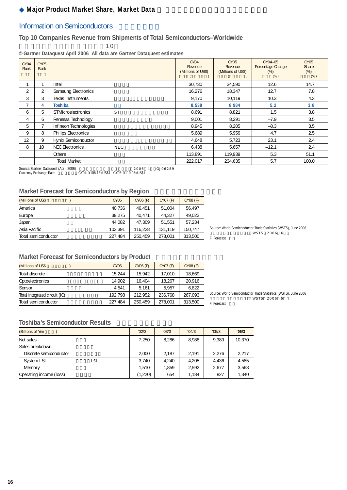## **Major Product Market Share, Market Data**

#### Information on Semiconductors

#### **Top 10 Companies Revenue from Shipments of Total Semiconductors–Worldwide**

 $\sim$  10

**©Gartner Dataquest April 2006 All data are Gartner Dataquest estimates**

| CY04<br>Rank | CY05<br>Rank    |                                        | CY04<br>Revenue<br>(Millions of US\$) | <b>CY05</b><br>Revenue<br>(Millions of US\$) | CY04-05<br>Percentage Change<br>$(\%)$<br>(% ) | <b>CY05</b><br>Share<br>(% )<br>(% ) |
|--------------|-----------------|----------------------------------------|---------------------------------------|----------------------------------------------|------------------------------------------------|--------------------------------------|
|              |                 | Intel                                  | 30,730                                | 34.590                                       | 12.6                                           | 14.7                                 |
| 2            | $\overline{2}$  | Samsung Electronics                    | 16,276                                | 18.347                                       | 12.7                                           | 7.8                                  |
| 3            | 3               | <b>Texas Instruments</b>               | 9.170                                 | 10.119                                       | 10.3                                           | 4.3                                  |
| 7            | 4               | <b>Toshiba</b>                         | 8,538                                 | 8,984                                        | 5.2                                            | 3.8                                  |
| 6            | 5               | <b>STMicroelectronics</b><br><b>ST</b> | 8,691                                 | 8.821                                        | 1.5                                            | 3.8                                  |
| 4            | 6               | Renesas Technology                     | 9,001                                 | 8,291                                        | $-7.9$                                         | 3.5                                  |
| 5            |                 | Infineon Technologies                  | 8,945                                 | 8,205                                        | $-8.3$                                         | 3.5                                  |
| 9            | 8               | <b>Philips Electronics</b>             | 5.689                                 | 5.959                                        | 4.7                                            | 2.5                                  |
| 12           | 9               | Hynix Semiconductor                    | 4.648                                 | 5,723                                        | 23.1                                           | 2.4                                  |
| 8            | 10 <sup>1</sup> | <b>NEC Electronics</b><br><b>NEC</b>   | 6.438                                 | 5,657                                        | $-12.1$                                        | 2.4                                  |
|              |                 | Others                                 | 113,891                               | 119,939                                      | 5.3                                            | 51.1                                 |
|              |                 | <b>Total Market</b>                    | 222,017                               | 234.635                                      | 5.7                                            | 100.0                                |

Source: Gartner Dataquest (April 2006) 出典:ガートナー データクエスト(2006年4月) GJ06289 Currency Exchange Rate 為替レート:CY04: ¥108.16=US\$1 CY05: ¥110.08=US\$1

#### **Market Forecast for Semiconductors by Region**

| (Millions of US\$   | <b>CY05</b> | CY06 (F) | CY07 (F) | CY08 (F) |
|---------------------|-------------|----------|----------|----------|
| America             | 40.736      | 46.451   | 51.004   | 56.497   |
| Europe              | 39.275      | 40.471   | 44.327   | 49.022   |
| Japan               | 44.082      | 47.309   | 51.551   | 57,234   |
| Asia Pacific        | 103.391     | 116.228  | 131.119  | 150.747  |
| Total semiconductor | 227.484     | 250.459  | 278.001  | 313,500  |

Source: World Semiconductor Trade Statistics (WSTS), June 2006  $WSTS$  2006 6 F: Forecast

#### **Market Forecast for Semiconductors by Product**

| (Millions of US\$             | <b>CY05</b> | CY06 (F) | CY07 (F) | CY08 (F) |
|-------------------------------|-------------|----------|----------|----------|
| Total discrete                | 15.244      | 15.942   | 17.010   | 18.669   |
| Optoelectronics               | 14.902      | 16.404   | 18.267   | 20.916   |
| Sensor                        | 4.541       | 5.161    | 5.957    | 6.822    |
| Total integrated circuit (IC) | 192.798     | 212.952  | 236.768  | 267.093  |
| Total semiconductor           | 227.484     | 250.459  | 278.001  | 313.500  |

Source: World Semiconductor Trade Statistics (WSTS), June 2006  $WSTS$  2006 6 F: Forecast

#### **Toshiba's Semiconductor Results**

| (Billions of Yen        | '02/3   | '03/3 | '04/3 | '05/3 | '06/3  |
|-------------------------|---------|-------|-------|-------|--------|
| Net sales               | 7,250   | 8.286 | 8.988 | 9.389 | 10.370 |
| Sales breakdown         |         |       |       |       |        |
| Discrete semiconductor  | 2.000   | 2.187 | 2.191 | 2.276 | 2,217  |
| System LSI<br>lsi       | 3.740   | 4.240 | 4.205 | 4.436 | 4,585  |
| Memory                  | 1.510   | 1,859 | 2.592 | 2.677 | 3,568  |
| Operating income (loss) | (1,220) | 654   | 1,184 | 827   | 1,340  |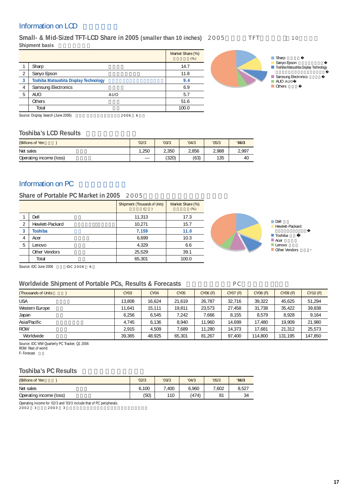### Information on LCD

Small- & Mid-Sized TFT-LCD Share in 2005 (smaller than 10 inches) 2005 TFT 10 **Shipment basis** 

|   |                                              |        | Market Share (%)<br>(% ) |
|---|----------------------------------------------|--------|--------------------------|
|   | Sharp                                        |        | 14.7                     |
| 2 | Sanyo Epson                                  |        | 11.8                     |
| 3 | <b>Toshiba Matsushita Display Technology</b> |        | 9.4                      |
| 4 | Samsung Electronics                          |        | 6.9                      |
| 5 | <b>AUO</b>                                   | AUO    | 5.7                      |
|   | Others                                       |        | 51.6                     |
|   | Total                                        |        | 100.0                    |
|   | Source: Display Search (June 2006)           | 2006 6 |                          |



Sourch (June 2006)

#### **Toshiba's LCD Results**

| (Billions of Yen        | '02/3 | '03/3 | '04/3 | '05/3 | '06/3 |
|-------------------------|-------|-------|-------|-------|-------|
| Net sales               | .250  | 2.350 | 2.856 | 2.988 | 2,997 |
| Operating income (loss) |       | (320) | (63)  | 135   | 40    |

#### Information on PC

#### Share of Portable PC Market in 2005 2005

|   |                 | Shipment (Thousands of Units) | Market Share (%)<br>(% ) |                     |                        |
|---|-----------------|-------------------------------|--------------------------|---------------------|------------------------|
|   | Dell            | 11,313                        | 17.3                     |                     |                        |
|   | Hewlett-Packard | 10,271                        | 15.7                     | Dell                | <b>Hewlett-Packard</b> |
|   | <b>Toshiba</b>  | 7.159                         | 11.0                     |                     | Toshiba                |
|   | Acer            | 6,699                         | 10.3                     | $\blacksquare$ Acer |                        |
| 5 | Lenovo          | 4,329                         | 6.6                      | $L$ enovo           |                        |
|   | Other Vendors   | 25,529                        | 39.1                     | Other Vendors       |                        |
|   | Total           | 65,301                        | 100.0                    |                     |                        |
|   |                 |                               |                          |                     |                        |

Source: IDC June 2006 出典:IDC 2006 年 6 月

#### Worldwide Shipment of Portable PCs, Results & Forecasts **PC**

| <b>(Thousands of Units)</b> | CY03   | CY <sub>04</sub> | CY05   | CY06 (F) | CY07 (F) | CY08 (F) | CY09 (F) | CY10 (F) |
|-----------------------------|--------|------------------|--------|----------|----------|----------|----------|----------|
| <b>USA</b>                  | 13,808 | 16,624           | 21,619 | 26,787   | 32,716   | 39.322   | 45,625   | 51.294   |
| Western Europe              | 11.641 | 15.111           | 19.811 | 23.573   | 27.458   | 31.738   | 35.422   | 39,838   |
| Japan                       | 6.256  | 6.545            | 7,242  | 7.666    | 8.155    | 8.579    | 8.928    | 9.164    |
| Asia/Pacific                | 4.745  | 6.136            | 8.940  | 11.960   | 14.699   | 17.480   | 19.909   | 21.980   |
| <b>ROW</b>                  | 2.915  | 4.509            | .689   | 11,280   | 14.373   | 17.681   | 21,312   | 25,573   |
| Worldwide                   | 39.365 | 48.925           | 65.301 | 81,267   | 97.400   | 114.800  | 131.195  | 147,850  |

Source: IDC WW Quarterly PC Tracker, Q1 2006

ROW: Rest of world

F: Forecast

#### **Toshiba's PC Results**

| (Billions of Yen        | '02/3 | '03/3   | '04/3 | '05/3 | '06/3 |
|-------------------------|-------|---------|-------|-------|-------|
| Net sales               | 6.100 | .400    | 6.960 | 7.602 | 8,527 |
| Operating income (loss) | (50)  | $110 -$ | (474) | 81    | 34    |

Operating income for '02/3 and '03/3 include that of PC peripherals.

 $2002 \quad 3 \qquad 2003 \quad 3$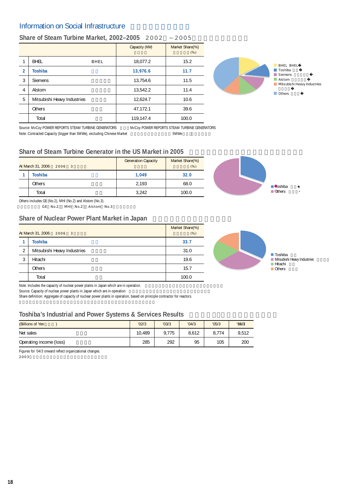### Information on Social Infrastructure

#### Share of Steam Turbine Market, 2002–2005 2002 2005

|                |                             |      | Capacity (MW) | Market Share(%)<br>(% ) |
|----------------|-----------------------------|------|---------------|-------------------------|
| 1              | <b>BHEL</b>                 | BHEL | 18,077.2      | 15.2                    |
| $\overline{2}$ | Toshiba                     |      | 13,976.6      | 11.7                    |
| 3              | <b>Siemens</b>              |      | 13,754.6      | 11.5                    |
| 4              | Alstom                      |      | 13.542.2      | 11.4                    |
| 5              | Mitsubishi Heavy Industries |      | 12.624.7      | 10.6                    |
|                | <b>Others</b>               |      | 47.172.1      | 39.6                    |
|                | Total                       |      | 119,147.4     | 100.0                   |



Note: Contracted Capacity (bigger than 5MWe), excluding Chinese Market 5MWe

Source: McCoy POWER REPORTS STEAM TURBINE GENERATORS McCoy POWER REPORTS STEAM TURBINE GENERATORS

#### **Share of Steam Turbine Generator in the US Market in 2005**

| At March 31, 2006<br>2006 3 | <b>Generation Capacity</b> | Market Share(%)<br>(% ) |  |
|-----------------------------|----------------------------|-------------------------|--|
| Toshiba                     | 1.049                      | 32.0                    |  |
| Others                      | 2.193                      | 68.0                    |  |
| Total                       | 3,242                      | 100.0                   |  |

Others includes GE (No.2), MHI (No.2) and Alstom (No.3).

GE No.2 MHI No.2 Alstom No.3

#### **Share of Nuclear Power Plant Market in Japan**

| At March 31, 2006 | Market Share(%)<br>(% )     |       |
|-------------------|-----------------------------|-------|
|                   | <b>Toshiba</b>              | 33.7  |
| 2                 | Mitsubishi Heavy Industries | 31.0  |
| 3                 | Hitachi                     | 19.6  |
|                   | <b>Others</b>               | 15.7  |
|                   | Total                       | 100.0 |



Toshiba Mitsubishi Heavy Industries Hitachi Others

Toshiba Others

Note: Includes the capacity of nuclear power plants in Japan which are in operation.

Source: Capacity of nuclear power plants in Japan which are in operation

Share definition: Aggregate of capacity of nuclear power plants in operation, based on principle contractor for reactors.

#### **Toshiba's Industrial and Power Systems & Services Results**

| (Billions of Yen        | '02/3  | '03/3 | '04/3 | '05/3 | '06/3 |
|-------------------------|--------|-------|-------|-------|-------|
| Net sales               | 10.489 | 9.775 | 8.612 | 8.774 | 9.512 |
| Operating income (loss) | 285    | 292   | 95    | 105   | 200   |

Figures for '04/3 onward reflect organizational changes.  $2003$ 

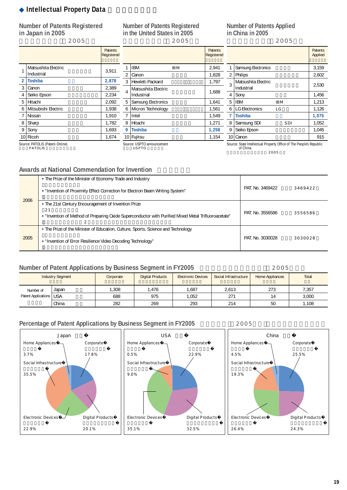### **Intellectual Property Data**

**Number of Patents Registered in Japan in 2005**

日本登録特許件数(2005年)

#### **Number of Patents Registered in the United States in 2005** 米国登録特許件数(2005年)

**Number of Patents Applied in China in 2005**

Patents Registered 中国特許出願件数(2005年)

Patents Applied

|                |                     | <b>Patents</b><br>Registered |                |                          | Patents<br><b>Register</b> |
|----------------|---------------------|------------------------------|----------------|--------------------------|----------------------------|
|                | Matsushita Electric | 3.911                        |                | <b>IBM</b><br><b>IBM</b> | 2,941                      |
|                | Industrial          |                              | 2              | Canon                    | 1,828                      |
| $\overline{2}$ | <b>Toshiba</b>      | 2,878                        | 3              | Hewlett-Packard          | 1,797                      |
| 3              | Canon               | 2,389                        |                | Matsushita Electric      |                            |
| 4              | Seiko Epson         | 2,234                        | $\overline{4}$ | Industrial               | 1,688                      |
| 5              | Hitachi             | 2,092                        | 5              | Samsung Electronics      | 1,641                      |
| 6              | Mitsubishi Electric | 1.938                        | 6              | Micron Technology        | 1,561                      |
| $\overline{7}$ | Nissan              | 1,910                        | 7              | Intel                    | 1.549                      |
| 8              | Sharp               | 1,782                        | 8              | Hitachi                  | 1,271                      |
| 9              | Sony                | 1,693                        | 9              | <b>Toshiba</b>           | 1,258                      |
|                | 10 Ricoh            | 1.674                        |                | 10 Fujitsu               | 1.154                      |

1,828 1.797 1,641 1,561 1,549 **9 Toshiba** 東芝 **1,258** 1,154 1 Samsung Electronics 2,159  $2 \vert$ Philips  $2,602$ 3 Matsushita Electric Industrial Liectric 2,530 4 Sony 1,456 5 IBM IBM 1,213 6 LG Electronics LG 1,126 **7 Toshiba** 東芝 **1,075** 8 Samsung SDI SDI 1,052 9 Seiko Epson 1,045 10 Canon 10 Canon 10

Source: PATOLIS (Patent-Online) PATOLIS

Source: USPTO announcement USPTO

Source: State Intellectual Property Office of The People's Republic of China 出典:中国国家知識産権局 2005 年報

#### **Awards at National Commendation for Invention**

| 2006 | • The Prize of the Minister of Economy Trade and Industry                                                                                                         |                  | 3469422 |
|------|-------------------------------------------------------------------------------------------------------------------------------------------------------------------|------------------|---------|
|      | • "Invention of Proximity Effect Correction for Electron Beam Writing System"                                                                                     | PAT. No. 3469422 |         |
|      | • The 21st Century Encouragement of Invention Prize<br>21<br>. "Invention of Method of Preparing Oxide Superconductor with Purified Mixed Metal Trifluoroacetate" | PAT. No. 3556586 | 3556586 |
| 2005 | • The Prize of the Minister of Education, Culture, Sports, Science and Technology<br>• "Invention of Error Resilience Video Decoding Technology"                  | PAT. No. 3030028 | 3030028 |

### **Number of Patent Applications by Business Segment in FY2005**  $\qquad 2005$

| <b>Industry Segment</b>   |       | Corporate | <b>Digital Products</b> | <b>Electronic Devices</b> | Social Infrastructure | Home Appliances | Total |
|---------------------------|-------|-----------|-------------------------|---------------------------|-----------------------|-----------------|-------|
| Number of                 | Japan | ,308      | .476                    | .687                      | 2.613                 | 273             | 7,357 |
| Patent Applications   USA |       | 688       | 975                     | 0.052                     | 271                   | 14              | 3.000 |
|                           | China | 282       | 269                     | 293                       | 214                   | 50              | 1,108 |

#### Percentage of Patent Applications by Business Segment in FY2005 **12005**

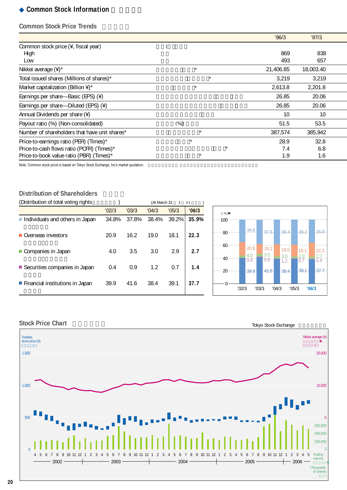#### **Common Stock Information**

#### **Common Stock Price Trends**

|                                               |         | '96/3     | '97/3     |
|-----------------------------------------------|---------|-----------|-----------|
| Common stock price (¥, fiscal year)           |         |           |           |
| High                                          |         | 869       | 838       |
| Low                                           |         | 493       | 657       |
| Nikkei average $(4)^*$                        | $\star$ | 21,406.85 | 18,003.40 |
| Total issued shares (Millions of shares)*     | $\star$ | 3,219     | 3,219     |
| Market capitalization (Billion $4^*$ )*       | $\star$ | 2,613.8   | 2,201.8   |
| Earnings per share—Basic (EPS) (¥)            |         | 26.85     | 20.06     |
| Earnings per share-Diluted (EPS) (¥)          |         | 26.85     | 20.06     |
| Annual Dividends per share (¥)                |         | 10        | 10        |
| Payout ratio (%) (Non-consolidated)           | (% )    | 51.5      | 53.5      |
| Number of shareholders that have unit shares* | $\star$ | 387,574   | 385,942   |
| Price-to-earnings ratio (PER) (Times)*        | $\star$ | 28.9      | 32.8      |
| Price-to-cash flows ratio (PCFR) (Times)*     | $\star$ | 7.4       | 6.8       |
| Price-to-book value ratio (PBR) (Times)*      | $\star$ | 1.9       | 1.6       |

Note: Common stock price is based on Tokyo Stock Exchange, Inc's market quotation.

#### **Distribution of Shareholders**

| (Distribution of total voting rights) |       |       | (At March 31 | $\mathbf{3}$ | 31    |
|---------------------------------------|-------|-------|--------------|--------------|-------|
|                                       | '02/3 | '03/3 | '04/3        | '05/3        | '06/3 |
| Individuals and others in Japan       | 34.8% | 37.8% | 38.4%        | 39.2%        | 35.9% |
| Overseas investors                    | 20.9  | 16.2  | 19.0         | 18.1         | 22.3  |
| Companies in Japan                    | 4.0   | 3.5   | 3.0          | 2.9          | 2.7   |
| ■ Securities companies in Japan       | 0.4   | 0.9   | 1.2          | 0.7          | 1.4   |
| ■ Financial institutions in Japan     | 39.9  | 41.6  | 38.4         | 39.1         | 37.7  |





#### **Stock Price Chart**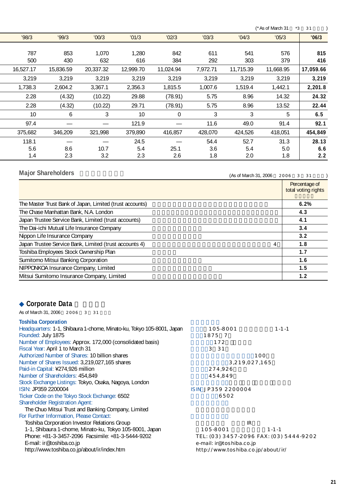$(*$ As of March 31  $*3$  31  $)$ 

| '98/3     | '99/3     | '00/3     | '01/3     | '02/3     | '03/3    | '04/3     | '05/3     | '06/3     |
|-----------|-----------|-----------|-----------|-----------|----------|-----------|-----------|-----------|
|           |           |           |           |           |          |           |           |           |
| 787       | 853       | 1,070     | 1.280     | 842       | 611      | 541       | 576       | 815       |
| 500       | 430       | 632       | 616       | 384       | 292      | 303       | 379       | 416       |
| 16,527.17 | 15,836.59 | 20,337.32 | 12,999.70 | 11,024.94 | 7.972.71 | 11,715.39 | 11.668.95 | 17,059.66 |
| 3,219     | 3,219     | 3,219     | 3,219     | 3,219     | 3,219    | 3,219     | 3,219     | 3,219     |
| 1,738.3   | 2,604.2   | 3.367.1   | 2,356.3   | 1,815.5   | 1,007.6  | 1,519.4   | 1,442.1   | 2,201.8   |
| 2.28      | (4.32)    | (10.22)   | 29.88     | (78.91)   | 5.75     | 8.96      | 14.32     | 24.32     |
| 2.28      | (4.32)    | (10.22)   | 29.71     | (78.91)   | 5.75     | 8.96      | 13.52     | 22.44     |
| 10        | 6         | 3         | 10        | 0         | 3        | 3         | 5         | 6.5       |
| 97.4      |           |           | 121.9     |           | 11.6     | 49.0      | 91.4      | 92.1      |
| 375,682   | 346,209   | 321,998   | 379.890   | 416.857   | 428,070  | 424,526   | 418,051   | 454,849   |
| 118.1     |           |           | 24.5      |           | 54.4     | 52.7      | 31.3      | 28.13     |
| 5.6       | 8.6       | 10.7      | 5.4       | 25.1      | 3.6      | 5.4       | 5.0       | 6.6       |
| 1.4       | 2.3       | 3.2       | 2.3       | 2.6       | 1.8      | 2.0       | 1.8       | 2.2       |

### **Major Shareholders**

 $(As of March 31, 2006 2006 3 31)$ 

|                                                             | Percentage of<br>total voting rights |
|-------------------------------------------------------------|--------------------------------------|
| The Master Trust Bank of Japan, Limited (trust accounts)    | 6.2%                                 |
| The Chase Manhattan Bank, N.A. London                       | 4.3                                  |
| Japan Trustee Service Bank, Limited (trust accounts)        | 4.1                                  |
| The Dai-ichi Mutual Life Insurance Company                  | 3.4                                  |
| Nippon Life Insurance Company                               | 3.2                                  |
| Japan Trustee Service Bank, Limited (trust accounts 4)<br>4 | 1.8                                  |
| Toshiba Employees Stock Ownership Plan                      | 1.7                                  |
| Sumitomo Mitsui Banking Corporation                         | 1.6                                  |
| NIPPONKOA Insurance Company, Limited                        | 1.5                                  |
| Mitsui Sumitomo Insurance Company, Limited                  | 1.2                                  |

## **Corporate Data**

As of March 31, 2006  $2006$  3 31

| 10011184001801411011                                                  |                                         |             |  |
|-----------------------------------------------------------------------|-----------------------------------------|-------------|--|
| Headquarters: 1-1, Shibaura 1-chome, Minato-ku, Tokyo 105-8001, Japan | 105-8001                                | $1 - 1 - 1$ |  |
| Founded: July 1875                                                    | 1875 7                                  |             |  |
| Number of Employees: Approx. 172,000 (consolidated basis)             | 172                                     |             |  |
| Fiscal Year: April 1 to March 31                                      | 3 31                                    |             |  |
| Authorized Number of Shares: 10 billion shares                        | 100                                     |             |  |
| Number of Shares Issued: 3,219,027,165 shares                         | 3,219,027,165                           |             |  |
| Paid-in Capital: ¥274,926 million                                     | 274,926                                 |             |  |
| Number of Shareholders: 454,849                                       | 454,849                                 |             |  |
| Stock Exchange Listings: Tokyo, Osaka, Nagoya, London                 |                                         |             |  |
| ISIN: JP359 2200004                                                   | ISIN JP359 2200004                      |             |  |
| Ticker Code on the Tokyo Stock Exchange: 6502                         | 6502                                    |             |  |
| <b>Shareholder Registration Agent:</b>                                |                                         |             |  |
| The Chuo Mitsui Trust and Banking Company, Limited                    |                                         |             |  |
| For Further Information, Please Contact:                              |                                         |             |  |
| Toshiba Corporation Investor Relations Group                          | IR                                      |             |  |
| 1-1, Shibaura 1-chome, Minato-ku, Tokyo 105-8001, Japan               | 105-8001                                | $1 - 1 - 1$ |  |
| Phone: +81-3-3457-2096 Facsimile: +81-3-5444-9202                     | TEL: (03) 3457-2096 FAX: (03) 5444-9202 |             |  |
| E-mail: ir@toshiba.co.jp                                              | e-mail: ir@toshiba.co.jp                |             |  |
| http://www.toshiba.co.jp/about/ir/index.htm                           | http://www.toshiba.co.jp/about/ir/      |             |  |